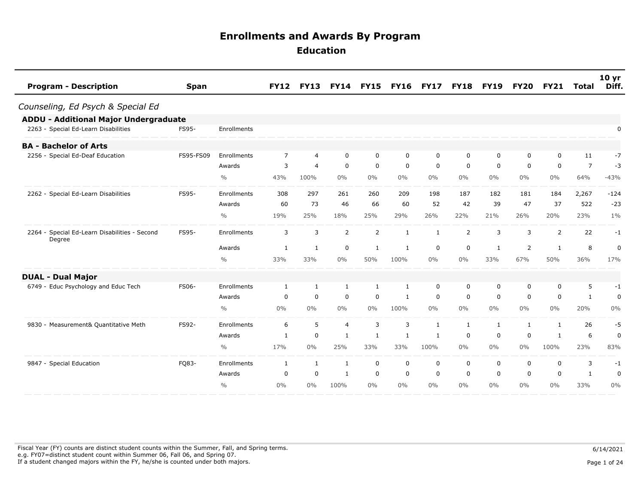| <b>Program - Description</b>                            | <b>Span</b>  |               | <b>FY12</b>    | <b>FY13</b>    | <b>FY14</b>    | <b>FY15</b>  | <b>FY16</b>  | <b>FY17</b>  | <b>FY18</b> | <b>FY19</b>  | <b>FY20</b> | <b>FY21</b> | <b>Total</b>   | 10 <sub>yr</sub><br>Diff. |
|---------------------------------------------------------|--------------|---------------|----------------|----------------|----------------|--------------|--------------|--------------|-------------|--------------|-------------|-------------|----------------|---------------------------|
| Counseling, Ed Psych & Special Ed                       |              |               |                |                |                |              |              |              |             |              |             |             |                |                           |
| <b>ADDU - Additional Major Undergraduate</b>            |              |               |                |                |                |              |              |              |             |              |             |             |                |                           |
| 2263 - Special Ed-Learn Disabilities                    | FS95-        | Enrollments   |                |                |                |              |              |              |             |              |             |             |                | 0                         |
| <b>BA - Bachelor of Arts</b>                            |              |               |                |                |                |              |              |              |             |              |             |             |                |                           |
| 2256 - Special Ed-Deaf Education                        | FS95-FS09    | Enrollments   | $\overline{7}$ | $\overline{4}$ | $\mathbf 0$    | $\mathbf 0$  | $\mathbf 0$  | $\mathbf 0$  | $\mathbf 0$ | $\mathbf 0$  | 0           | $\mathbf 0$ | 11             | $-7$                      |
|                                                         |              | Awards        | 3              | $\overline{4}$ | $\mathbf 0$    | $\mathbf 0$  | $\mathbf 0$  | $\mathbf 0$  | 0           | 0            | 0           | 0           | $\overline{7}$ | $-3$                      |
|                                                         |              | $\%$          | 43%            | 100%           | $0\%$          | $0\%$        | $0\%$        | $0\%$        | $0\%$       | $0\%$        | $0\%$       | $0\%$       | 64%            | $-43%$                    |
| 2262 - Special Ed-Learn Disabilities                    | FS95-        | Enrollments   | 308            | 297            | 261            | 260          | 209          | 198          | 187         | 182          | 181         | 184         | 2,267          | $-124$                    |
|                                                         |              | Awards        | 60             | 73             | 46             | 66           | 60           | 52           | 42          | 39           | 47          | 37          | 522            | $-23$                     |
|                                                         |              | $\frac{0}{0}$ | 19%            | 25%            | 18%            | 25%          | 29%          | 26%          | 22%         | 21%          | 26%         | 20%         | 23%            | $1\%$                     |
| 2264 - Special Ed-Learn Disabilities - Second<br>Degree | FS95-        | Enrollments   | 3              | 3              | 2              | 2            | 1            | 1            | 2           | 3            | 3           | 2           | 22             | -1                        |
|                                                         |              | Awards        | 1              | 1              | $\mathbf 0$    | $\mathbf{1}$ | 1            | $\mathbf 0$  | $\mathbf 0$ | $\mathbf{1}$ | 2           | -1          | 8              | $\mathbf 0$               |
|                                                         |              | $\frac{0}{0}$ | 33%            | 33%            | $0\%$          | 50%          | 100%         | $0\%$        | $0\%$       | 33%          | 67%         | 50%         | 36%            | 17%                       |
| <b>DUAL - Dual Major</b>                                |              |               |                |                |                |              |              |              |             |              |             |             |                |                           |
| 6749 - Educ Psychology and Educ Tech                    | <b>FS06-</b> | Enrollments   | 1              | 1              | $\mathbf{1}$   | 1            | $\mathbf{1}$ | $\mathbf 0$  | 0           | 0            | 0           | $\mathbf 0$ | 5              | $-1$                      |
|                                                         |              | Awards        | 0              | $\mathbf 0$    | $\mathbf 0$    | $\mathbf 0$  | 1            | $\mathbf 0$  | $\mathbf 0$ | $\mathbf 0$  | $\mathbf 0$ | $\mathbf 0$ | $\mathbf{1}$   | 0                         |
|                                                         |              | $\frac{0}{0}$ | $0\%$          | $0\%$          | $0\%$          | $0\%$        | 100%         | $0\%$        | $0\%$       | $0\%$        | $0\%$       | 0%          | 20%            | 0%                        |
| 9830 - Measurement& Quantitative Meth                   | FS92-        | Enrollments   | 6              | 5              | $\overline{4}$ | 3            | 3            | $\mathbf{1}$ | 1           | 1            | 1           | 1           | 26             | -5                        |
|                                                         |              | Awards        | 1              | $\mathbf 0$    | 1              | 1            | 1            | 1            | 0           | 0            | 0           | -1          | 6              | 0                         |
|                                                         |              | $\frac{0}{0}$ | 17%            | $0\%$          | 25%            | 33%          | 33%          | 100%         | $0\%$       | $0\%$        | $0\%$       | 100%        | 23%            | 83%                       |
| 9847 - Special Education                                | FQ83-        | Enrollments   | 1              | 1              | 1              | $\mathbf 0$  | $\mathbf 0$  | 0            | 0           | 0            | 0           | 0           | 3              | $-1$                      |
|                                                         |              | Awards        | 0              | $\mathbf 0$    | 1              | $\mathbf 0$  | $\mathbf 0$  | $\mathbf 0$  | $\mathbf 0$ | $\mathbf 0$  | 0           | $\mathbf 0$ | 1              | 0                         |
|                                                         |              | $\frac{0}{0}$ | $0\%$          | $0\%$          | 100%           | $0\%$        | $0\%$        | $0\%$        | 0%          | $0\%$        | $0\%$       | $0\%$       | 33%            | 0%                        |

Fiscal Year (FY) counts are distinct student counts within the Summer, Fall, and Spring terms.  $6/14/2021$  e.g. FY07=distinct student count within Summer 06, Fall 06, and Spring 07. If a student changed majors within the FY, he/she is counted under both majors. Page 1 of 24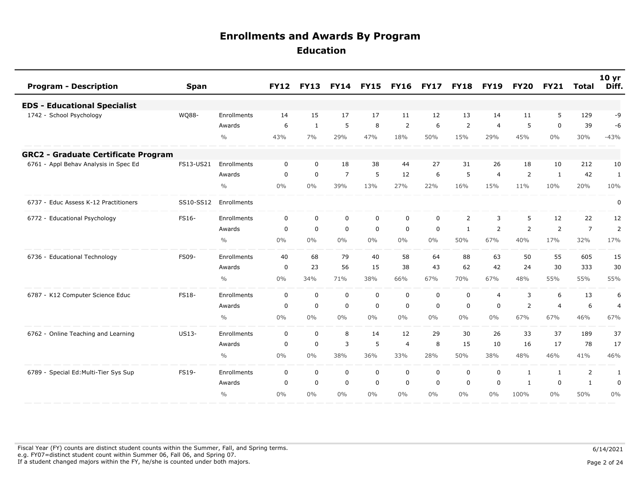| <b>Program - Description</b>               | <b>Span</b> |               | <b>FY12</b> | <b>FY13</b> | <b>FY14</b>    | <b>FY15</b> | <b>FY16</b>    | <b>FY17</b> | <b>FY18</b>    | <b>FY19</b>    | <b>FY20</b>  | <b>FY21</b>    | <b>Total</b>   | 10 <sub>yr</sub><br>Diff. |
|--------------------------------------------|-------------|---------------|-------------|-------------|----------------|-------------|----------------|-------------|----------------|----------------|--------------|----------------|----------------|---------------------------|
| <b>EDS - Educational Specialist</b>        |             |               |             |             |                |             |                |             |                |                |              |                |                |                           |
| 1742 - School Psychology                   | WQ88-       | Enrollments   | 14          | 15          | 17             | 17          | 11             | 12          | 13             | 14             | 11           | 5              | 129            | -9                        |
|                                            |             | Awards        | 6           | 1           | 5              | 8           | $\overline{2}$ | 6           | 2              | $\overline{4}$ | 5            | $\mathbf 0$    | 39             | -6                        |
|                                            |             | $\frac{0}{0}$ | 43%         | 7%          | 29%            | 47%         | 18%            | 50%         | 15%            | 29%            | 45%          | $0\%$          | 30%            | $-43%$                    |
| <b>GRC2 - Graduate Certificate Program</b> |             |               |             |             |                |             |                |             |                |                |              |                |                |                           |
| 6761 - Appl Behav Analysis in Spec Ed      | FS13-US21   | Enrollments   | $\mathbf 0$ | $\mathbf 0$ | 18             | 38          | 44             | 27          | 31             | 26             | 18           | 10             | 212            | 10                        |
|                                            |             | Awards        | $\mathbf 0$ | $\mathbf 0$ | $\overline{7}$ | 5           | 12             | 6           | 5              | $\overline{4}$ | 2            | $\mathbf{1}$   | 42             | $\mathbf{1}$              |
|                                            |             | $\frac{0}{0}$ | 0%          | 0%          | 39%            | 13%         | 27%            | 22%         | 16%            | 15%            | 11%          | 10%            | 20%            | 10%                       |
| 6737 - Educ Assess K-12 Practitioners      | SS10-SS12   | Enrollments   |             |             |                |             |                |             |                |                |              |                |                | $\pmb{0}$                 |
| 6772 - Educational Psychology              | FS16-       | Enrollments   | $\mathbf 0$ | $\mathbf 0$ | $\mathbf 0$    | $\mathbf 0$ | $\mathbf 0$    | $\mathbf 0$ | $\overline{2}$ | 3              | 5            | 12             | 22             | 12                        |
|                                            |             | Awards        | $\mathbf 0$ | $\mathbf 0$ | $\mathbf 0$    | $\mathbf 0$ | 0              | $\mathbf 0$ | 1              | $\overline{2}$ | 2            | 2              | $\overline{7}$ | $\overline{2}$            |
|                                            |             | $\frac{0}{0}$ | 0%          | $0\%$       | $0\%$          | $0\%$       | $0\%$          | $0\%$       | 50%            | 67%            | 40%          | 17%            | 32%            | 17%                       |
| 6736 - Educational Technology              | FS09-       | Enrollments   | 40          | 68          | 79             | 40          | 58             | 64          | 88             | 63             | 50           | 55             | 605            | 15                        |
|                                            |             | Awards        | $\mathbf 0$ | 23          | 56             | 15          | 38             | 43          | 62             | 42             | 24           | 30             | 333            | 30                        |
|                                            |             | $\frac{0}{0}$ | 0%          | 34%         | 71%            | 38%         | 66%            | 67%         | 70%            | 67%            | 48%          | 55%            | 55%            | 55%                       |
| 6787 - K12 Computer Science Educ           | FS18-       | Enrollments   | $\Omega$    | $\mathbf 0$ | $\mathbf 0$    | $\mathbf 0$ | $\mathbf 0$    | $\mathbf 0$ | $\mathbf 0$    | $\overline{4}$ | 3            | 6              | 13             | 6                         |
|                                            |             | Awards        | $\mathbf 0$ | $\mathbf 0$ | $\mathbf 0$    | $\mathbf 0$ | $\mathbf 0$    | $\mathbf 0$ | $\mathbf 0$    | $\mathbf 0$    | 2            | $\overline{4}$ | 6              | $\overline{4}$            |
|                                            |             | $\frac{0}{0}$ | 0%          | $0\%$       | $0\%$          | $0\%$       | $0\%$          | $0\%$       | $0\%$          | $0\%$          | 67%          | 67%            | 46%            | 67%                       |
| 6762 - Online Teaching and Learning        | US13-       | Enrollments   | 0           | $\mathbf 0$ | 8              | 14          | 12             | 29          | 30             | 26             | 33           | 37             | 189            | 37                        |
|                                            |             | Awards        | $\mathbf 0$ | $\mathbf 0$ | 3              | 5           | $\overline{4}$ | 8           | 15             | 10             | 16           | 17             | 78             | 17                        |
|                                            |             | $\frac{0}{0}$ | 0%          | 0%          | 38%            | 36%         | 33%            | 28%         | 50%            | 38%            | 48%          | 46%            | 41%            | 46%                       |
| 6789 - Special Ed: Multi-Tier Sys Sup      | FS19-       | Enrollments   | $\mathbf 0$ | $\mathbf 0$ | $\mathbf 0$    | $\mathbf 0$ | $\mathbf 0$    | $\mathbf 0$ | $\mathbf 0$    | $\mathbf 0$    | $\mathbf{1}$ | $\mathbf{1}$   | 2              | 1                         |
|                                            |             | Awards        | 0           | $\mathbf 0$ | $\mathbf 0$    | $\mathbf 0$ | 0              | $\mathbf 0$ | $\mathbf 0$    | $\mathbf 0$    | 1            | $\mathbf 0$    | $\mathbf{1}$   | $\mathbf 0$               |
|                                            |             | $\frac{0}{0}$ | $0\%$       | $0\%$       | $0\%$          | $0\%$       | $0\%$          | $0\%$       | $0\%$          | $0\%$          | 100%         | $0\%$          | 50%            | 0%                        |

Fiscal Year (FY) counts are distinct student counts within the Summer, Fall, and Spring terms.  $6/14/2021$  e.g. FY07=distinct student count within Summer 06, Fall 06, and Spring 07. If a student changed majors within the FY, he/she is counted under both majors. Page 2 of 24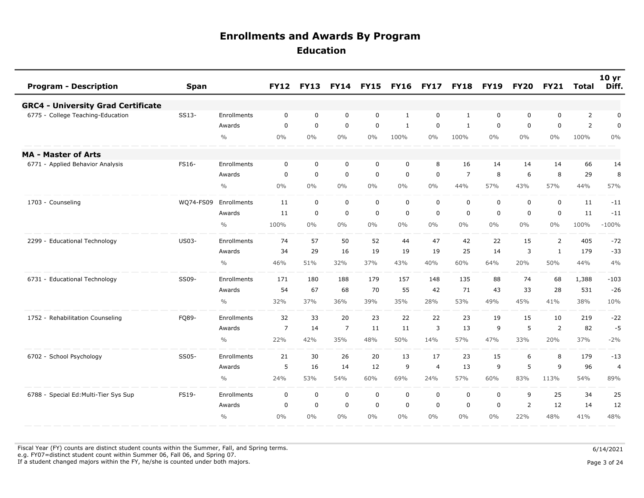| <b>Program - Description</b>              | <b>Span</b>  |               | <b>FY12</b>    | <b>FY13</b> | <b>FY14</b>    | <b>FY15</b> | <b>FY16</b> | <b>FY17</b>      | <b>FY18</b>      | <b>FY19</b> | <b>FY20</b>    | <b>FY21</b>    | Total          | 10 <sub>yr</sub><br>Diff. |
|-------------------------------------------|--------------|---------------|----------------|-------------|----------------|-------------|-------------|------------------|------------------|-------------|----------------|----------------|----------------|---------------------------|
| <b>GRC4 - University Grad Certificate</b> |              |               |                |             |                |             |             |                  |                  |             |                |                |                |                           |
| 6775 - College Teaching-Education         | SS13-        | Enrollments   | 0              | 0           | 0              | $\mathbf 0$ | 1           | $\mathbf 0$      | $\mathbf{1}$     | $\mathbf 0$ | 0              | $\mathbf 0$    | $\overline{2}$ | 0                         |
|                                           |              | Awards        | 0              | $\mathbf 0$ | $\mathbf 0$    | $\mathbf 0$ | 1           | $\Omega$         | 1                | $\mathbf 0$ | 0              | 0              | 2              | 0                         |
|                                           |              | $\frac{0}{0}$ | 0%             | 0%          | $0\%$          | $0\%$       | 100%        | $0\%$            | 100%             | $0\%$       | $0\%$          | $0\%$          | 100%           | $0\%$                     |
| <b>MA - Master of Arts</b>                |              |               |                |             |                |             |             |                  |                  |             |                |                |                |                           |
| - Applied Behavior Analysis<br>6771       | FS16-        | Enrollments   | $\mathbf 0$    | $\mathbf 0$ | 0              | $\mathbf 0$ | $\mathbf 0$ | 8                | 16               | 14          | 14             | 14             | 66             | 14                        |
|                                           |              | Awards        | 0              | 0           | $\mathbf 0$    | $\mathbf 0$ | 0           | $\mathbf 0$      | $\overline{7}$   | 8           | 6              | 8              | 29             | 8                         |
|                                           |              | $\frac{0}{0}$ | 0%             | 0%          | 0%             | $0\%$       | $0\%$       | 0%               | 44%              | 57%         | 43%            | 57%            | 44%            | 57%                       |
| 1703 - Counseling                         | WQ74-FS09    | Enrollments   | 11             | $\mathbf 0$ | $\mathbf 0$    | 0           | $\mathbf 0$ | $\mathbf 0$      | $\mathbf 0$      | $\mathbf 0$ | $\mathbf 0$    | $\mathbf 0$    | 11             | $-11$                     |
|                                           |              | Awards        | 11             | $\pmb{0}$   | $\mathbf 0$    | $\mathbf 0$ | $\mathbf 0$ | $\boldsymbol{0}$ | $\boldsymbol{0}$ | $\mathbf 0$ | $\mathbf 0$    | $\mathsf 0$    | 11             | $-11$                     |
|                                           |              | $\frac{0}{0}$ | 100%           | 0%          | 0%             | $0\%$       | $0\%$       | $0\%$            | $0\%$            | $0\%$       | $0\%$          | $0\%$          | 100%           | $-100%$                   |
| 2299 - Educational Technology             | <b>US03-</b> | Enrollments   | 74             | 57          | 50             | 52          | 44          | 47               | 42               | 22          | 15             | $\overline{2}$ | 405            | $-72$                     |
|                                           |              | Awards        | 34             | 29          | 16             | 19          | 19          | 19               | 25               | 14          | 3              | $\mathbf{1}$   | 179            | $-33$                     |
|                                           |              | $\frac{0}{0}$ | 46%            | 51%         | 32%            | 37%         | 43%         | 40%              | 60%              | 64%         | 20%            | 50%            | 44%            | 4%                        |
| 6731 - Educational Technology             | SS09-        | Enrollments   | 171            | 180         | 188            | 179         | 157         | 148              | 135              | 88          | 74             | 68             | 1,388          | $-103$                    |
|                                           |              | Awards        | 54             | 67          | 68             | 70          | 55          | 42               | 71               | 43          | 33             | 28             | 531            | $-26$                     |
|                                           |              | $\frac{0}{0}$ | 32%            | 37%         | 36%            | 39%         | 35%         | 28%              | 53%              | 49%         | 45%            | 41%            | 38%            | 10%                       |
| 1752 - Rehabilitation Counseling          | FQ89-        | Enrollments   | 32             | 33          | 20             | 23          | 22          | 22               | 23               | 19          | 15             | 10             | 219            | $-22$                     |
|                                           |              | Awards        | $\overline{7}$ | 14          | $\overline{7}$ | 11          | 11          | 3                | 13               | 9           | 5              | $\overline{2}$ | 82             | $-5$                      |
|                                           |              | $\frac{0}{0}$ | 22%            | 42%         | 35%            | 48%         | 50%         | 14%              | 57%              | 47%         | 33%            | 20%            | 37%            | $-2%$                     |
| 6702 - School Psychology                  | SS05-        | Enrollments   | 21             | 30          | 26             | 20          | 13          | 17               | 23               | 15          | 6              | 8              | 179            | $-13$                     |
|                                           |              | Awards        | 5              | 16          | 14             | 12          | 9           | $\overline{a}$   | 13               | 9           | 5              | 9              | 96             | 4                         |
|                                           |              | $\frac{0}{0}$ | 24%            | 53%         | 54%            | 60%         | 69%         | 24%              | 57%              | 60%         | 83%            | 113%           | 54%            | 89%                       |
| 6788 - Special Ed: Multi-Tier Sys Sup     | FS19-        | Enrollments   | $\mathbf 0$    | $\mathbf 0$ | $\mathbf 0$    | $\mathbf 0$ | $\mathbf 0$ | $\mathbf 0$      | $\mathbf 0$      | $\mathbf 0$ | 9              | 25             | 34             | 25                        |
|                                           |              | Awards        | 0              | $\mathbf 0$ | $\mathbf 0$    | $\mathbf 0$ | 0           | $\mathbf 0$      | $\mathbf 0$      | $\mathbf 0$ | $\overline{2}$ | 12             | 14             | 12                        |
|                                           |              | $\frac{0}{0}$ | 0%             | 0%          | $0\%$          | $0\%$       | $0\%$       | $0\%$            | $0\%$            | $0\%$       | 22%            | 48%            | 41%            | 48%                       |

Fiscal Year (FY) counts are distinct student counts within the Summer, Fall, and Spring terms.  $6/14/2021$ e.g. FY07=distinct student count within Summer 06, Fall 06, and Spring 07.

If a student changed majors within the FY, he/she is counted under both majors. Page 3 of 24

Page 3 of 24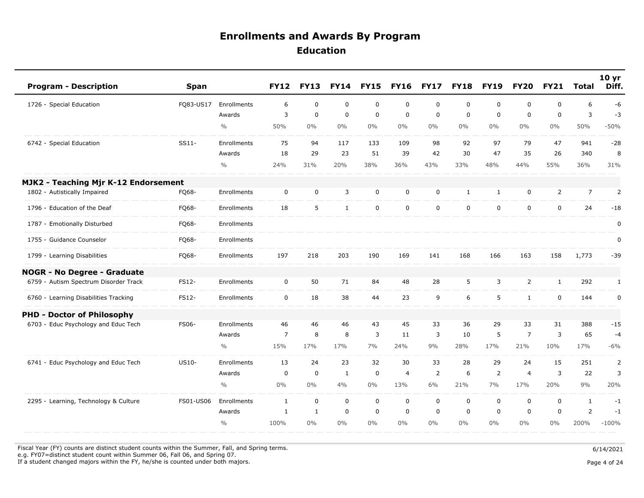| <b>Program - Description</b>          | <b>Span</b>  |               | <b>FY12</b>    | <b>FY13</b>  | <b>FY14</b>  | <b>FY15</b> | <b>FY16</b>    | <b>FY17</b> | <b>FY18</b> | <b>FY19</b>  | <b>FY20</b>    | <b>FY21</b>  | <b>Total</b>   | 10 <sub>yr</sub><br>Diff. |
|---------------------------------------|--------------|---------------|----------------|--------------|--------------|-------------|----------------|-------------|-------------|--------------|----------------|--------------|----------------|---------------------------|
| 1726 - Special Education              | FQ83-US17    | Enrollments   | 6              | $\mathbf 0$  | $\mathbf 0$  | $\mathsf 0$ | $\mathbf 0$    | $\mathbf 0$ | $\mathbf 0$ | $\mathbf 0$  | 0              | 0            | 6              | $-6$                      |
|                                       |              | Awards        | 3              | $\mathbf 0$  | $\mathbf 0$  | $\mathsf 0$ | $\mathbf 0$    | $\mathbf 0$ | $\mathbf 0$ | $\mathbf 0$  | 0              | $\mathbf 0$  | 3              | $-3$                      |
|                                       |              | $\frac{0}{0}$ | 50%            | $0\%$        | $0\%$        | $0\%$       | $0\%$          | $0\%$       | $0\%$       | $0\%$        | $0\%$          | $0\%$        | 50%            | $-50%$                    |
| 6742 - Special Education              | $SS11-$      | Enrollments   | 75             | 94           | 117          | 133         | 109            | 98          | 92          | 97           | 79             | 47           | 941            | $-28$                     |
|                                       |              | Awards        | 18             | 29           | 23           | 51          | 39             | 42          | 30          | 47           | 35             | 26           | 340            | 8                         |
|                                       |              | $\frac{0}{0}$ | 24%            | 31%          | 20%          | 38%         | 36%            | 43%         | 33%         | 48%          | 44%            | 55%          | 36%            | 31%                       |
| MJK2 - Teaching Mjr K-12 Endorsement  |              |               |                |              |              |             |                |             |             |              |                |              |                |                           |
| 1802 - Autistically Impaired          | FQ68-        | Enrollments   | $\mathbf 0$    | $\mathbf 0$  | 3            | $\mathbf 0$ | $\mathbf 0$    | $\mathbf 0$ | 1           | $\mathbf{1}$ | $\mathbf 0$    | 2            | $\overline{7}$ | 2                         |
| 1796 - Education of the Deaf          | FQ68-        | Enrollments   | 18             | 5            | $\mathbf{1}$ | $\mathbf 0$ | $\mathbf 0$    | $\mathbf 0$ | $\mathbf 0$ | $\mathbf 0$  | 0              | $\mathbf 0$  | 24             | $-18$                     |
| 1787 - Emotionally Disturbed          | FQ68-        | Enrollments   |                |              |              |             |                |             |             |              |                |              |                | 0                         |
| 1755 - Guidance Counselor             | FQ68-        | Enrollments   |                |              |              |             |                |             |             |              |                |              |                | $\pmb{0}$                 |
| 1799 - Learning Disabilities          | FQ68-        | Enrollments   | 197            | 218          | 203          | 190         | 169            | 141         | 168         | 166          | 163            | 158          | 1,773          | $-39$                     |
| <b>NOGR - No Degree - Graduate</b>    |              |               |                |              |              |             |                |             |             |              |                |              |                |                           |
| 6759 - Autism Spectrum Disorder Track | <b>FS12-</b> | Enrollments   | $\mathbf 0$    | 50           | 71           | 84          | 48             | 28          | 5           | 3            | 2              | $\mathbf{1}$ | 292            | $\mathbf{1}$              |
| 6760 - Learning Disabilities Tracking | FS12-        | Enrollments   | $\mathbf 0$    | 18           | 38           | 44          | 23             | 9           | 6           | 5            | $\mathbf{1}$   | $\mathbf 0$  | 144            | 0                         |
| <b>PHD - Doctor of Philosophy</b>     |              |               |                |              |              |             |                |             |             |              |                |              |                |                           |
| 6703 - Educ Psychology and Educ Tech  | FS06-        | Enrollments   | 46             | 46           | 46           | 43          | 45             | 33          | 36          | 29           | 33             | 31           | 388            | $-15$                     |
|                                       |              | Awards        | $\overline{7}$ | 8            | 8            | 3           | 11             | 3           | 10          | 5            | $\overline{7}$ | 3            | 65             | $-4$                      |
|                                       |              | $\frac{0}{0}$ | 15%            | 17%          | 17%          | 7%          | 24%            | 9%          | 28%         | 17%          | 21%            | 10%          | 17%            | $-6%$                     |
| 6741 - Educ Psychology and Educ Tech  | US10-        | Enrollments   | 13             | 24           | 23           | 32          | 30             | 33          | 28          | 29           | 24             | 15           | 251            | $\overline{2}$            |
|                                       |              | Awards        | 0              | $\mathbf 0$  | 1            | $\mathbf 0$ | $\overline{4}$ | 2           | 6           | 2            | $\overline{4}$ | 3            | 22             | 3                         |
|                                       |              | $\frac{0}{0}$ | $0\%$          | $0\%$        | 4%           | $0\%$       | 13%            | 6%          | 21%         | 7%           | 17%            | 20%          | 9%             | 20%                       |
| 2295 - Learning, Technology & Culture | FS01-US06    | Enrollments   | $\mathbf{1}$   | $\mathbf 0$  | $\mathbf 0$  | $\mathbf 0$ | $\mathbf 0$    | $\mathbf 0$ | $\mathbf 0$ | $\mathbf 0$  | 0              | $\mathbf 0$  | $\mathbf{1}$   | $-1$                      |
|                                       |              | Awards        | 1              | $\mathbf{1}$ | $\mathbf 0$  | $\mathsf 0$ | $\mathbf 0$    | $\mathbf 0$ | 0           | $\mathbf 0$  | 0              | $\mathbf 0$  | $\overline{2}$ | $-1$                      |
|                                       |              | $\frac{0}{0}$ | 100%           | $0\%$        | $0\%$        | $0\%$       | $0\%$          | $0\%$       | $0\%$       | $0\%$        | $0\%$          | $0\%$        | 200%           | $-100%$                   |

Fiscal Year (FY) counts are distinct student counts within the Summer, Fall, and Spring terms.  $6/14/2021$ 

 e.g. FY07=distinct student count within Summer 06, Fall 06, and Spring 07. If a student changed majors within the FY, he/she is counted under both majors. Page 4 of 24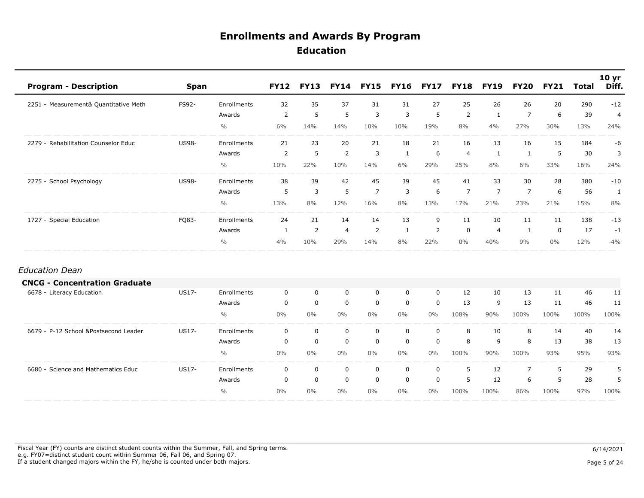| <b>Program - Description</b>          | <b>Span</b>  |               | <b>FY12</b> | <b>FY13</b> | <b>FY14</b>    | <b>FY15</b>    | <b>FY16</b>  | <b>FY17</b> | <b>FY18</b>    | <b>FY19</b>    | <b>FY20</b>    | <b>FY21</b> | <b>Total</b> | 10 <sub>yr</sub><br>Diff. |
|---------------------------------------|--------------|---------------|-------------|-------------|----------------|----------------|--------------|-------------|----------------|----------------|----------------|-------------|--------------|---------------------------|
| 2251 - Measurement& Quantitative Meth | FS92-        | Enrollments   | 32          | 35          | 37             | 31             | 31           | 27          | 25             | 26             | 26             | 20          | 290          | $-12$                     |
|                                       |              | Awards        | 2           | 5           | $\sqrt{5}$     | 3              | 3            | 5           | $\overline{2}$ | 1              | $\overline{7}$ | 6           | 39           | $\overline{4}$            |
|                                       |              | $\frac{0}{0}$ | 6%          | 14%         | 14%            | 10%            | 10%          | 19%         | 8%             | 4%             | 27%            | 30%         | 13%          | 24%                       |
| 2279 - Rehabilitation Counselor Educ  | <b>US98-</b> | Enrollments   | 21          | 23          | 20             | 21             | 18           | 21          | 16             | 13             | 16             | 15          | 184          | -6                        |
|                                       |              | Awards        | 2           | 5           | 2              | 3              | 1            | 6           | $\overline{4}$ | 1              | 1              | 5           | 30           | 3                         |
|                                       |              | $\frac{0}{0}$ | 10%         | 22%         | 10%            | 14%            | 6%           | 29%         | 25%            | 8%             | 6%             | 33%         | 16%          | 24%                       |
| 2275 - School Psychology              | <b>US98-</b> | Enrollments   | 38          | 39          | 42             | 45             | 39           | 45          | 41             | 33             | 30             | 28          | 380          | $-10$                     |
|                                       |              | Awards        | 5           | 3           | 5              | $\overline{7}$ | 3            | 6           | $\overline{7}$ | $\overline{7}$ | $\overline{7}$ | 6           | 56           | 1                         |
|                                       |              | $\frac{0}{0}$ | 13%         | 8%          | 12%            | 16%            | 8%           | 13%         | 17%            | 21%            | 23%            | 21%         | 15%          | 8%                        |
| 1727 - Special Education              | FQ83-        | Enrollments   | 24          | 21          | 14             | 14             | 13           | 9           | 11             | 10             | 11             | 11          | 138          | $-13$                     |
|                                       |              | Awards        | 1           | 2           | $\overline{a}$ | $\overline{2}$ | $\mathbf{1}$ | 2           | $\mathbf 0$    | $\overline{4}$ | 1              | $\mathbf 0$ | 17           | $-1$                      |
|                                       |              | $\%$          | 4%          | 10%         | 29%            | 14%            | 8%           | 22%         | $0\%$          | 40%            | 9%             | $0\%$       | 12%          | $-4%$                     |
| <b>Education Dean</b>                 |              |               |             |             |                |                |              |             |                |                |                |             |              |                           |
| <b>CNCG - Concentration Graduate</b>  |              |               |             |             |                |                |              |             |                |                |                |             |              |                           |
| 6678 - Literacy Education             | <b>US17-</b> | Enrollments   | $\mathbf 0$ | $\mathbf 0$ | $\mathbf 0$    | $\mathbf 0$    | $\mathbf 0$  | $\mathbf 0$ | 12             | 10             | 13             | 11          | 46           | 11                        |
|                                       |              | Awards        | $\mathbf 0$ | $\mathbf 0$ | $\mathbf 0$    | $\mathbf 0$    | $\mathbf 0$  | $\mathbf 0$ | 13             | 9              | 13             | 11          | 46           | 11                        |
|                                       |              | $\frac{0}{0}$ | 0%          | $0\%$       | $0\%$          | $0\%$          | $0\%$        | $0\%$       | 108%           | 90%            | 100%           | 100%        | 100%         | 100%                      |
| 6679 - P-12 School &Postsecond Leader | US17-        | Enrollments   | $\mathbf 0$ | $\mathbf 0$ | $\mathbf 0$    | $\mathbf 0$    | 0            | $\mathbf 0$ | 8              | 10             | 8              | 14          | 40           | 14                        |
|                                       |              | Awards        | $\mathbf 0$ | $\mathbf 0$ | $\mathbf 0$    | $\mathbf 0$    | $\mathbf 0$  | $\mathbf 0$ | 8              | 9              | 8              | 13          | 38           | 13                        |
|                                       |              | $\frac{0}{0}$ | $0\%$       | $0\%$       | $0\%$          | $0\%$          | $0\%$        | $0\%$       | 100%           | 90%            | 100%           | 93%         | 95%          | 93%                       |
| 6680 - Science and Mathematics Educ   | US17-        | Enrollments   | $\mathbf 0$ | $\mathbf 0$ | $\mathbf 0$    | $\mathbf 0$    | $\mathbf 0$  | $\mathbf 0$ | 5              | 12             | $\overline{7}$ | 5           | 29           | 5                         |
|                                       |              | Awards        | $\mathbf 0$ | $\mathbf 0$ | $\mathbf 0$    | $\mathbf 0$    | $\mathbf 0$  | $\mathbf 0$ | 5              | 12             | 6              | 5           | 28           | 5                         |
|                                       |              | $\frac{0}{0}$ | 0%          | $0\%$       | $0\%$          | $0\%$          | $0\%$        | $0\%$       | 100%           | 100%           | 86%            | 100%        | 97%          | 100%                      |

Fiscal Year (FY) counts are distinct student counts within the Summer, Fall, and Spring terms.  $6/14/2021$  e.g. FY07=distinct student count within Summer 06, Fall 06, and Spring 07. If a student changed majors within the FY, he/she is counted under both majors. Page 5 of 24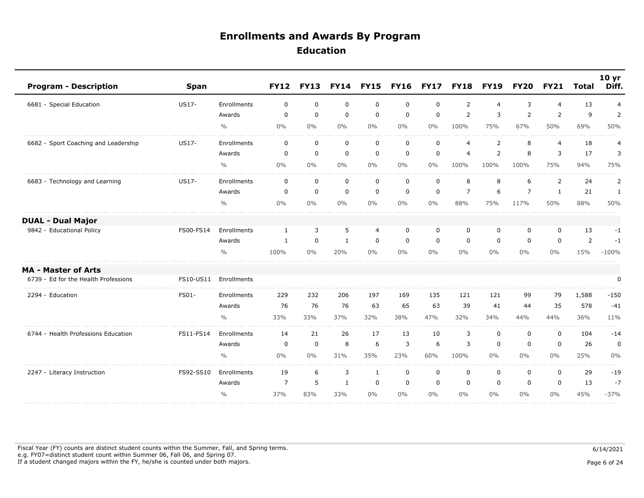| <b>Program - Description</b>         | <b>Span</b> |               | <b>FY12</b>    | <b>FY13</b> | <b>FY14</b>  | <b>FY15</b>    | <b>FY16</b> | <b>FY17</b> | <b>FY18</b>    | <b>FY19</b>    | <b>FY20</b>    | <b>FY21</b>    | <b>Total</b>   | 10 <sub>yr</sub><br>Diff. |
|--------------------------------------|-------------|---------------|----------------|-------------|--------------|----------------|-------------|-------------|----------------|----------------|----------------|----------------|----------------|---------------------------|
| 6681 - Special Education             | US17-       | Enrollments   | 0              | $\mathbf 0$ | $\mathbf 0$  | $\mathbf 0$    | 0           | $\mathbf 0$ | $\overline{2}$ | $\overline{4}$ | 3              | 4              | 13             | $\overline{4}$            |
|                                      |             | Awards        | $\mathbf 0$    | $\mathbf 0$ | $\mathbf 0$  | $\mathbf 0$    | $\mathbf 0$ | $\mathbf 0$ | $\overline{2}$ | $\overline{3}$ | $\overline{2}$ | 2              | 9              | $\overline{2}$            |
|                                      |             | $\frac{0}{0}$ | 0%             | $0\%$       | $0\%$        | $0\%$          | $0\%$       | $0\%$       | 100%           | 75%            | 67%            | 50%            | 69%            | 50%                       |
| 6682 - Sport Coaching and Leadership | US17-       | Enrollments   | 0              | $\mathbf 0$ | $\mathbf 0$  | $\mathbf 0$    | $\mathbf 0$ | $\mathbf 0$ | $\overline{4}$ | $\overline{2}$ | 8              | $\overline{4}$ | 18             | 4                         |
|                                      |             | Awards        | $\mathbf 0$    | $\mathbf 0$ | $\mathbf 0$  | 0              | $\mathbf 0$ | $\mathbf 0$ | $\overline{4}$ | $\overline{2}$ | 8              | 3              | 17             | 3                         |
|                                      |             | $\frac{0}{0}$ | 0%             | $0\%$       | $0\%$        | $0\%$          | $0\%$       | $0\%$       | 100%           | 100%           | 100%           | 75%            | 94%            | 75%                       |
| 6683 - Technology and Learning       | US17-       | Enrollments   | $\mathbf 0$    | $\mathbf 0$ | $\mathbf 0$  | $\mathbf 0$    | $\mathbf 0$ | $\mathbf 0$ | 8              | 8              | 6              | 2              | 24             | $\overline{2}$            |
|                                      |             | Awards        | 0              | $\mathbf 0$ | $\mathbf 0$  | $\mathbf 0$    | $\mathbf 0$ | $\mathbf 0$ | $\overline{7}$ | 6              | $\overline{7}$ | 1              | 21             | $\mathbf{1}$              |
|                                      |             | $\frac{0}{0}$ | 0%             | $0\%$       | 0%           | $0\%$          | $0\%$       | $0\%$       | 88%            | 75%            | 117%           | 50%            | 88%            | 50%                       |
| <b>DUAL - Dual Major</b>             |             |               |                |             |              |                |             |             |                |                |                |                |                |                           |
| 9842 - Educational Policy            | FS00-FS14   | Enrollments   | $\mathbf{1}$   | 3           | 5            | $\overline{4}$ | $\mathbf 0$ | $\mathbf 0$ | $\mathbf 0$    | $\mathbf 0$    | 0              | $\mathbf 0$    | 13             | $-1$                      |
|                                      |             | Awards        | 1              | $\mathbf 0$ | $\mathbf{1}$ | $\mathbf 0$    | $\mathbf 0$ | $\mathbf 0$ | $\mathbf 0$    | $\mathbf 0$    | 0              | $\mathbf 0$    | $\overline{2}$ | $-1$                      |
|                                      |             | $\frac{0}{0}$ | 100%           | $0\%$       | 20%          | $0\%$          | $0\%$       | $0\%$       | $0\%$          | $0\%$          | $0\%$          | 0%             | 15%            | $-100%$                   |
| <b>MA - Master of Arts</b>           |             |               |                |             |              |                |             |             |                |                |                |                |                |                           |
| 6739 - Ed for the Health Professions | FS10-US11   | Enrollments   |                |             |              |                |             |             |                |                |                |                |                | $\pmb{0}$                 |
| 2294 - Education                     | FS01-       | Enrollments   | 229            | 232         | 206          | 197            | 169         | 135         | 121            | 121            | 99             | 79             | 1,588          | $-150$                    |
|                                      |             | Awards        | 76             | 76          | 76           | 63             | 65          | 63          | 39             | 41             | 44             | 35             | 578            | $-41$                     |
|                                      |             | $\frac{0}{0}$ | 33%            | 33%         | 37%          | 32%            | 38%         | 47%         | 32%            | 34%            | 44%            | 44%            | 36%            | 11%                       |
| 6744 - Health Professions Education  | FS11-FS14   | Enrollments   | 14             | 21          | 26           | 17             | 13          | 10          | 3              | $\mathbf 0$    | 0              | $\mathbf 0$    | 104            | $-14$                     |
|                                      |             | Awards        | $\mathbf 0$    | $\mathbf 0$ | 8            | 6              | 3           | 6           | 3              | $\mathbf 0$    | 0              | $\mathbf 0$    | 26             | $\mathbf 0$               |
|                                      |             | $\frac{0}{0}$ | 0%             | $0\%$       | 31%          | 35%            | 23%         | 60%         | 100%           | $0\%$          | $0\%$          | $0\%$          | 25%            | 0%                        |
| 2247 - Literacy Instruction          | FS92-SS10   | Enrollments   | 19             | 6           | 3            | $\mathbf{1}$   | $\mathbf 0$ | $\mathbf 0$ | $\mathbf 0$    | $\mathbf 0$    | 0              | $\mathbf 0$    | 29             | $-19$                     |
|                                      |             | Awards        | $\overline{7}$ | 5           | $\mathbf{1}$ | $\mathbf 0$    | $\mathbf 0$ | $\mathbf 0$ | 0              | $\mathbf 0$    | 0              | $\mathbf 0$    | 13             | $-7$                      |
|                                      |             | $\frac{0}{0}$ | 37%            | 83%         | 33%          | $0\%$          | $0\%$       | $0\%$       | $0\%$          | $0\%$          | $0\%$          | $0\%$          | 45%            | $-37%$                    |

Fiscal Year (FY) counts are distinct student counts within the Summer, Fall, and Spring terms.  $6/14/2021$  e.g. FY07=distinct student count within Summer 06, Fall 06, and Spring 07. If a student changed majors within the FY, he/she is counted under both majors. Page 6 of 24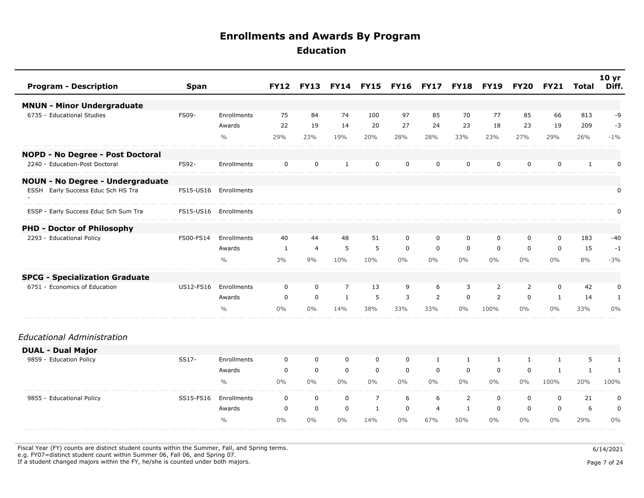| <b>Program - Description</b>            | <b>Span</b> |               | <b>FY12</b>  | <b>FY13</b>    | <b>FY14</b>    | <b>FY15</b>    | <b>FY16</b> | <b>FY17</b>    | <b>FY18</b>  | <b>FY19</b>    | FY20           | <b>FY21</b>  | Total        | 10 yr<br>Diff. |
|-----------------------------------------|-------------|---------------|--------------|----------------|----------------|----------------|-------------|----------------|--------------|----------------|----------------|--------------|--------------|----------------|
| <b>MNUN - Minor Undergraduate</b>       |             |               |              |                |                |                |             |                |              |                |                |              |              |                |
| 6735 - Educational Studies              | FS09-       | Enrollments   | 75           | 84             | 74             | 100            | 97          | 85             | 70           | 77             | 85             | 66           | 813          | -9             |
|                                         |             | Awards        | 22           | 19             | 14             | 20             | 27          | 24             | 23           | 18             | 23             | 19           | 209          | $-3$           |
|                                         |             | $\frac{0}{0}$ | 29%          | 23%            | 19%            | 20%            | 28%         | 28%            | 33%          | 23%            | 27%            | 29%          | 26%          | $-1\%$         |
| NOPD - No Degree - Post Doctoral        |             |               |              |                |                |                |             |                |              |                |                |              |              |                |
| 2240 - Education-Post Doctoral          | FS92-       | Enrollments   | $\mathbf 0$  | $\mathbf 0$    | $\mathbf{1}$   | $\mathbf 0$    | $\mathbf 0$ | $\mathbf 0$    | $\mathbf 0$  | $\mathbf 0$    | $\mathbf 0$    | $\mathbf 0$  | $\mathbf{1}$ | $\mathbf 0$    |
| <b>NOUN - No Degree - Undergraduate</b> |             |               |              |                |                |                |             |                |              |                |                |              |              |                |
| ESSH Early Success Educ Sch HS Tra      | FS15-US16   | Enrollments   |              |                |                |                |             |                |              |                |                |              |              | $\mathbf 0$    |
| ESSP - Early Success Educ Sch Sum Tra   | FS15-US16   | Enrollments   |              |                |                |                |             |                |              |                |                |              |              | $\mathbf 0$    |
| <b>PHD - Doctor of Philosophy</b>       |             |               |              |                |                |                |             |                |              |                |                |              |              |                |
| 2293 - Educational Policy               | FS00-FS14   | Enrollments   | 40           | 44             | 48             | 51             | 0           | $\mathbf 0$    | $\mathbf 0$  | $\mathbf 0$    | $\mathbf 0$    | $\mathbf 0$  | 183          | $-40$          |
|                                         |             | Awards        | $\mathbf{1}$ | $\overline{4}$ | 5              | 5              | $\mathbf 0$ | $\mathbf 0$    | $\mathbf 0$  | $\mathbf 0$    | $\mathbf 0$    | $\mathbf 0$  | 15           | $-1$           |
|                                         |             | $\frac{0}{0}$ | 3%           | 9%             | 10%            | 10%            | $0\%$       | $0\%$          | $0\%$        | $0\%$          | $0\%$          | $0\%$        | 8%           | $-3%$          |
| <b>SPCG - Specialization Graduate</b>   |             |               |              |                |                |                |             |                |              |                |                |              |              |                |
| 6751 - Economics of Education           | US12-FS16   | Enrollments   | $\mathbf 0$  | $\mathbf 0$    | $\overline{7}$ | 13             | 9           | 6              | 3            | $\overline{2}$ | $\overline{2}$ | 0            | 42           | $\mathbf 0$    |
|                                         |             | Awards        | $\mathbf 0$  | $\mathbf 0$    | $\mathbf{1}$   | 5              | 3           | 2              | $\mathbf 0$  | 2              | $\mathbf{0}$   | $\mathbf{1}$ | 14           | 1              |
|                                         |             | $\frac{0}{0}$ | $0\%$        | $0\%$          | 14%            | 38%            | 33%         | 33%            | $0\%$        | 100%           | $0\%$          | $0\%$        | 33%          | 0%             |
| Educational Administration              |             |               |              |                |                |                |             |                |              |                |                |              |              |                |
| <b>DUAL - Dual Major</b>                |             |               |              |                |                |                |             |                |              |                |                |              |              |                |
| 9859 - Education Policy                 | SS17-       | Enrollments   | $\mathbf 0$  | $\mathbf 0$    | $\mathbf 0$    | 0              | 0           | $\mathbf{1}$   | $\mathbf{1}$ | $\mathbf{1}$   | $\mathbf{1}$   | $\mathbf{1}$ | 5            | $\mathbf{1}$   |
|                                         |             | Awards        | $\mathbf 0$  | $\mathbf 0$    | $\mathbf 0$    | $\mathbf 0$    | $\mathbf 0$ | $\mathbf 0$    | $\mathbf 0$  | $\mathbf 0$    | $\Omega$       | 1            | $\mathbf{1}$ | $\mathbf{1}$   |
|                                         |             | $\frac{0}{0}$ | $0\%$        | $0\%$          | $0\%$          | $0\%$          | $0\%$       | $0\%$          | $0\%$        | $0\%$          | $0\%$          | 100%         | 20%          | 100%           |
| 9855 - Educational Policy               | SS15-FS16   | Enrollments   | $\mathbf 0$  | $\mathbf 0$    | $\mathbf 0$    | $\overline{7}$ | 6           | 6              | 2            | $\mathbf 0$    | $\mathbf 0$    | $\mathbf 0$  | 21           | 0              |
|                                         |             | Awards        | $\mathbf 0$  | $\mathbf 0$    | $\mathbf 0$    | $\mathbf{1}$   | $\mathbf 0$ | $\overline{a}$ | $\mathbf{1}$ | $\mathbf 0$    | $\mathbf 0$    | $\mathbf 0$  | 6            | $\mathbf 0$    |
|                                         |             | $\frac{0}{0}$ | $0\%$        | $0\%$          | $0\%$          | 14%            | $0\%$       | 67%            | 50%          | $0\%$          | $0\%$          | $0\%$        | 29%          | $0\%$          |

Fiscal Year (FY) counts are distinct student counts within the Summer, Fall, and Spring terms.  $6/14/2021$ e.g. FY07=distinct student count within Summer 06, Fall 06, and Spring 07.

If a student changed majors within the FY, he/she is counted under both majors. Page 7 of 24

Page 7 of 24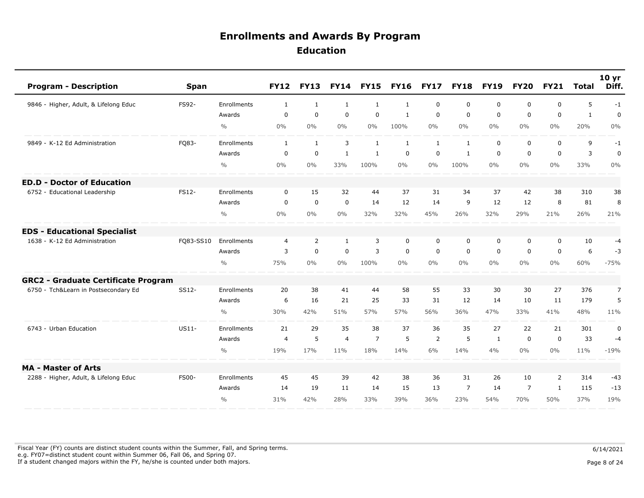| <b>Program - Description</b>               | <b>Span</b>  |               | <b>FY12</b>    | <b>FY13</b>  | <b>FY14</b>    | <b>FY15</b>    | <b>FY16</b>  | <b>FY17</b>    | <b>FY18</b>    | <b>FY19</b>  | <b>FY20</b>    | <b>FY21</b>  | <b>Total</b> | 10 <sub>yr</sub><br>Diff. |
|--------------------------------------------|--------------|---------------|----------------|--------------|----------------|----------------|--------------|----------------|----------------|--------------|----------------|--------------|--------------|---------------------------|
| 9846 - Higher, Adult, & Lifelong Educ      | FS92-        | Enrollments   | $\mathbf{1}$   | 1            | 1              | 1              | 1            | $\mathbf 0$    | $\mathbf 0$    | $\mathbf 0$  | 0              | 0            | 5            | $-1$                      |
|                                            |              | Awards        | $\mathbf 0$    | $\mathbf 0$  | 0              | $\mathbf 0$    | $\mathbf{1}$ | $\mathbf 0$    | $\mathbf 0$    | $\mathbf 0$  | $\mathbf 0$    | 0            | $\mathbf{1}$ | $\mathbf 0$               |
|                                            |              | $\frac{0}{0}$ | 0%             | $0\%$        | $0\%$          | $0\%$          | 100%         | $0\%$          | $0\%$          | $0\%$        | $0\%$          | 0%           | 20%          | 0%                        |
| 9849 - K-12 Ed Administration              | FQ83-        | Enrollments   | $\mathbf{1}$   | $\mathbf{1}$ | 3              | $\mathbf{1}$   | $\mathbf{1}$ | $\mathbf{1}$   | $\mathbf{1}$   | $\mathbf 0$  | 0              | $\mathbf 0$  | 9            | $-1$                      |
|                                            |              | Awards        | $\mathbf 0$    | $\mathbf 0$  | $\mathbf{1}$   | $\mathbf{1}$   | $\mathbf 0$  | $\mathbf 0$    | $\mathbf{1}$   | $\mathbf 0$  | $\mathbf 0$    | $\mathbf 0$  | 3            | $\mathbf 0$               |
|                                            |              | $\frac{0}{0}$ | $0\%$          | $0\%$        | 33%            | 100%           | $0\%$        | $0\%$          | 100%           | $0\%$        | $0\%$          | 0%           | 33%          | $0\%$                     |
| - Doctor of Education<br>ED.D              |              |               |                |              |                |                |              |                |                |              |                |              |              |                           |
| 6752 - Educational Leadership              | <b>FS12-</b> | Enrollments   | $\Omega$       | 15           | 32             | 44             | 37           | 31             | 34             | 37           | 42             | 38           | 310          | 38                        |
|                                            |              | Awards        | $\mathbf 0$    | $\mathbf 0$  | $\mathbf 0$    | 14             | 12           | 14             | 9              | 12           | 12             | 8            | 81           | 8                         |
|                                            |              | $\frac{0}{0}$ | 0%             | $0\%$        | $0\%$          | 32%            | 32%          | 45%            | 26%            | 32%          | 29%            | 21%          | 26%          | 21%                       |
| <b>EDS - Educational Specialist</b>        |              |               |                |              |                |                |              |                |                |              |                |              |              |                           |
| 1638 - K-12 Ed Administration              | FQ83-SS10    | Enrollments   | $\overline{4}$ | 2            | $\mathbf{1}$   | 3              | $\mathbf 0$  | $\mathbf 0$    | $\mathbf 0$    | $\mathbf 0$  | 0              | $\mathbf 0$  | 10           | $-4$                      |
|                                            |              | Awards        | 3              | $\mathsf 0$  | $\mathbf 0$    | 3              | $\mathbf 0$  | $\mathbf 0$    | $\mathbf 0$    | $\mathbf 0$  | $\mathbf 0$    | $\mathbf 0$  | 6            | $-3$                      |
|                                            |              | $\frac{0}{0}$ | 75%            | $0\%$        | $0\%$          | 100%           | $0\%$        | $0\%$          | $0\%$          | $0\%$        | $0\%$          | $0\%$        | 60%          | $-75%$                    |
| <b>GRC2 - Graduate Certificate Program</b> |              |               |                |              |                |                |              |                |                |              |                |              |              |                           |
| 6750 - Tch&Learn in Postsecondary Ed       | SS12-        | Enrollments   | 20             | 38           | 41             | 44             | 58           | 55             | 33             | 30           | 30             | 27           | 376          | $\overline{7}$            |
|                                            |              | Awards        | 6              | 16           | 21             | 25             | 33           | 31             | 12             | 14           | 10             | 11           | 179          | 5                         |
|                                            |              | $\frac{0}{0}$ | 30%            | 42%          | 51%            | 57%            | 57%          | 56%            | 36%            | 47%          | 33%            | 41%          | 48%          | 11%                       |
| 6743 - Urban Education                     | US11-        | Enrollments   | 21             | 29           | 35             | 38             | 37           | 36             | 35             | 27           | 22             | 21           | 301          | $\pmb{0}$                 |
|                                            |              | Awards        | $\overline{4}$ | 5            | $\overline{4}$ | $\overline{7}$ | 5            | $\overline{2}$ | 5              | $\mathbf{1}$ | 0              | $\mathbf 0$  | 33           | $-4$                      |
|                                            |              | $\frac{0}{0}$ | 19%            | 17%          | 11%            | 18%            | 14%          | 6%             | 14%            | 4%           | $0\%$          | $0\%$        | 11%          | $-19%$                    |
| <b>MA - Master of Arts</b>                 |              |               |                |              |                |                |              |                |                |              |                |              |              |                           |
| 2288 - Higher, Adult, & Lifelong Educ      | <b>FS00-</b> | Enrollments   | 45             | 45           | 39             | 42             | 38           | 36             | 31             | 26           | 10             | 2            | 314          | $-43$                     |
|                                            |              | Awards        | 14             | 19           | 11             | 14             | 15           | 13             | $\overline{7}$ | 14           | $\overline{7}$ | <sup>1</sup> | 115          | $-13$                     |
|                                            |              | $\frac{0}{0}$ | 31%            | 42%          | 28%            | 33%            | 39%          | 36%            | 23%            | 54%          | 70%            | 50%          | 37%          | 19%                       |

Fiscal Year (FY) counts are distinct student counts within the Summer, Fall, and Spring terms.  $6/14/2021$  e.g. FY07=distinct student count within Summer 06, Fall 06, and Spring 07. If a student changed majors within the FY, he/she is counted under both majors. Page 8 of 24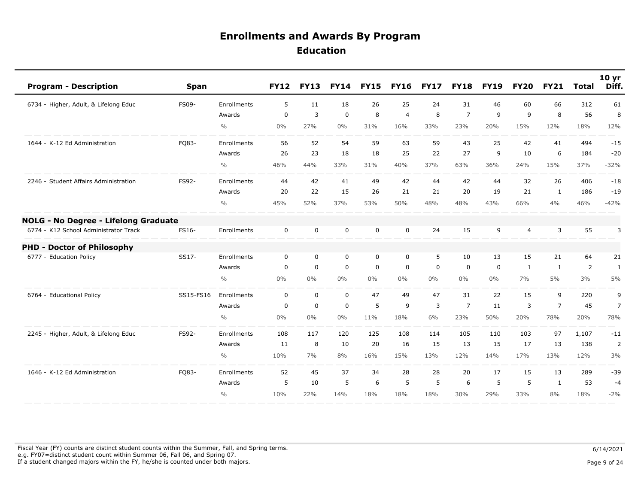| <b>Program - Description</b>          | <b>Span</b> |               | <b>FY12</b>  | <b>FY13</b> | <b>FY14</b> | <b>FY15</b> | <b>FY16</b>    | <b>FY17</b> | <b>FY18</b>    | <b>FY19</b> | <b>FY20</b> | <b>FY21</b>    | <b>Total</b>   | 10 <sub>yr</sub><br>Diff. |
|---------------------------------------|-------------|---------------|--------------|-------------|-------------|-------------|----------------|-------------|----------------|-------------|-------------|----------------|----------------|---------------------------|
| 6734 - Higher, Adult, & Lifelong Educ | FS09-       | Enrollments   | 5            | 11          | 18          | 26          | 25             | 24          | 31             | 46          | 60          | 66             | 312            | 61                        |
|                                       |             | Awards        | $\mathbf 0$  | 3           | $\mathbf 0$ | 8           | $\overline{4}$ | 8           | $\overline{7}$ | 9           | 9           | 8              | 56             | 8                         |
|                                       |             | $\frac{0}{0}$ | 0%           | 27%         | $0\%$       | 31%         | 16%            | 33%         | 23%            | 20%         | 15%         | 12%            | 18%            | 12%                       |
| 1644 - K-12 Ed Administration         | FQ83-       | Enrollments   | 56           | 52          | 54          | 59          | 63             | 59          | 43             | 25          | 42          | 41             | 494            | $-15$                     |
|                                       |             | Awards        | 26           | 23          | 18          | 18          | 25             | 22          | 27             | 9           | 10          | 6              | 184            | $-20$                     |
|                                       |             | $\frac{0}{0}$ | 46%          | 44%         | 33%         | 31%         | 40%            | 37%         | 63%            | 36%         | 24%         | 15%            | 37%            | $-32%$                    |
| 2246 - Student Affairs Administration | FS92-       | Enrollments   | 44           | 42          | 41          | 49          | 42             | 44          | 42             | 44          | 32          | 26             | 406            | $-18$                     |
|                                       |             | Awards        | 20           | 22          | 15          | 26          | 21             | 21          | 20             | 19          | 21          | 1              | 186            | $-19$                     |
|                                       |             | $\frac{0}{0}$ | 45%          | 52%         | 37%         | 53%         | 50%            | 48%         | 48%            | 43%         | 66%         | 4%             | 46%            | $-42%$                    |
| NOLG - No Degree - Lifelong Graduate  |             |               |              |             |             |             |                |             |                |             |             |                |                |                           |
| 6774 - K12 School Administrator Track | FS16-       | Enrollments   | $\mathbf 0$  | $\mathbf 0$ | $\mathbf 0$ | $\mathbf 0$ | $\Omega$       | 24          | 15             | 9           | 4           | 3              | 55             | 3                         |
| <b>PHD - Doctor of Philosophy</b>     |             |               |              |             |             |             |                |             |                |             |             |                |                |                           |
| 6777 - Education Policy               | SS17-       | Enrollments   | $\mathbf 0$  | $\mathbf 0$ | $\mathbf 0$ | 0           | $\mathbf 0$    | 5           | 10             | 13          | 15          | 21             | 64             | 21                        |
|                                       |             | Awards        | $\mathbf 0$  | $\mathbf 0$ | $\mathbf 0$ | $\mathbf 0$ | $\mathbf 0$    | $\mathbf 0$ | 0              | $\mathbf 0$ | 1           | 1              | $\overline{2}$ | $\mathbf{1}$              |
|                                       |             | $\frac{0}{0}$ | $0\%$        | $0\%$       | $0\%$       | $0\%$       | $0\%$          | $0\%$       | $0\%$          | 0%          | 7%          | 5%             | 3%             | 5%                        |
| 6764 - Educational Policy             | SS15-FS16   | Enrollments   | $\mathbf{0}$ | $\mathbf 0$ | $\mathbf 0$ | 47          | 49             | 47          | 31             | 22          | 15          | 9              | 220            | 9                         |
|                                       |             | Awards        | $\mathbf 0$  | $\mathbf 0$ | $\mathbf 0$ | 5           | 9              | 3           | $\overline{7}$ | 11          | 3           | $\overline{7}$ | 45             | $\overline{7}$            |
|                                       |             | $\frac{0}{0}$ | $0\%$        | $0\%$       | $0\%$       | 11%         | 18%            | 6%          | 23%            | 50%         | 20%         | 78%            | 20%            | 78%                       |
| 2245 - Higher, Adult, & Lifelong Educ | FS92-       | Enrollments   | 108          | 117         | 120         | 125         | 108            | 114         | 105            | 110         | 103         | 97             | 1,107          | $-11$                     |
|                                       |             | Awards        | 11           | 8           | 10          | 20          | 16             | 15          | 13             | 15          | 17          | 13             | 138            | $\overline{2}$            |
|                                       |             | $\frac{0}{0}$ | 10%          | 7%          | 8%          | 16%         | 15%            | 13%         | 12%            | 14%         | 17%         | 13%            | 12%            | 3%                        |
| 1646 - K-12 Ed Administration         | FQ83-       | Enrollments   | 52           | 45          | 37          | 34          | 28             | 28          | 20             | 17          | 15          | 13             | 289            | $-39$                     |
|                                       |             | Awards        | 5            | 10          | 5           | 6           | 5              | 5           | 6              | 5           | 5           | 1              | 53             | $-4$                      |
|                                       |             | $\frac{0}{0}$ | 10%          | 22%         | 14%         | 18%         | 18%            | 18%         | 30%            | 29%         | 33%         | 8%             | 18%            | $-2%$                     |

Fiscal Year (FY) counts are distinct student counts within the Summer, Fall, and Spring terms.  $6/14/2021$  e.g. FY07=distinct student count within Summer 06, Fall 06, and Spring 07. If a student changed majors within the FY, he/she is counted under both majors. Page 9 of 24

Page 9 of 24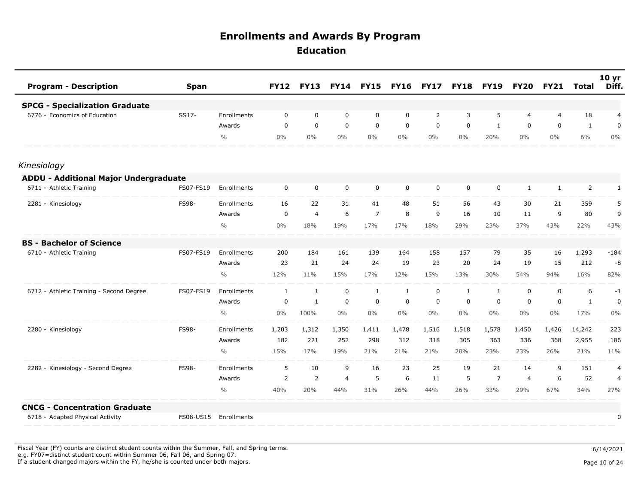| <b>Program - Description</b>                 | <b>Span</b> |               | <b>FY12</b> | <b>FY13</b>  | <b>FY14</b>    | <b>FY15</b>    | <b>FY16</b> | <b>FY17</b>    | <b>FY18</b> | <b>FY19</b>    | <b>FY20</b>  | <b>FY21</b> | <b>Total</b>   | 10 <sub>yr</sub><br>Diff. |
|----------------------------------------------|-------------|---------------|-------------|--------------|----------------|----------------|-------------|----------------|-------------|----------------|--------------|-------------|----------------|---------------------------|
| <b>SPCG - Specialization Graduate</b>        |             |               |             |              |                |                |             |                |             |                |              |             |                |                           |
| 6776 - Economics of Education                | SS17-       | Enrollments   | $\mathbf 0$ | $\mathbf 0$  | 0              | $\mathbf 0$    | 0           | $\overline{2}$ | 3           | 5              | 4            | 4           | 18             | 4                         |
|                                              |             | Awards        | $\mathbf 0$ | $\mathbf 0$  | 0              | 0              | 0           | $\mathbf 0$    | 0           | $\mathbf{1}$   | 0            | $\mathbf 0$ | $\mathbf{1}$   | 0                         |
|                                              |             | $\frac{0}{0}$ | $0\%$       | $0\%$        | 0%             | $0\%$          | $0\%$       | $0\%$          | $0\%$       | 20%            | $0\%$        | $0\%$       | 6%             | $0\%$                     |
| Kinesiology                                  |             |               |             |              |                |                |             |                |             |                |              |             |                |                           |
| <b>ADDU - Additional Major Undergraduate</b> |             |               |             |              |                |                |             |                |             |                |              |             |                |                           |
| 6711 - Athletic Training                     | FS07-FS19   | Enrollments   | 0           | $\mathbf 0$  | $\mathbf 0$    | $\mathbf 0$    | 0           | $\mathbf 0$    | 0           | 0              | $\mathbf{1}$ | 1           | $\overline{2}$ | $\mathbf{1}$              |
| 2281 - Kinesiology                           | FS98-       | Enrollments   | 16          | 22           | 31             | 41             | 48          | 51             | 56          | 43             | 30           | 21          | 359            | 5                         |
|                                              |             | Awards        | 0           | 4            | 6              | $\overline{7}$ | 8           | 9              | 16          | 10             | 11           | 9           | 80             | 9                         |
|                                              |             | $\frac{0}{0}$ | $0\%$       | 18%          | 19%            | 17%            | 17%         | 18%            | 29%         | 23%            | 37%          | 43%         | 22%            | 43%                       |
| <b>BS - Bachelor of Science</b>              |             |               |             |              |                |                |             |                |             |                |              |             |                |                           |
| 6710 - Athletic Training                     | FS07-FS19   | Enrollments   | 200         | 184          | 161            | 139            | 164         | 158            | 157         | 79             | 35           | 16          | 1,293          | $-184$                    |
|                                              |             | Awards        | 23          | 21           | 24             | 24             | 19          | 23             | 20          | 24             | 19           | 15          | 212            | $-8$                      |
|                                              |             | $\frac{0}{0}$ | 12%         | 11%          | 15%            | 17%            | 12%         | 15%            | 13%         | 30%            | 54%          | 94%         | 16%            | 82%                       |
| 6712 - Athletic Training - Second Degree     | FS07-FS19   | Enrollments   | 1           | $\mathbf{1}$ | $\mathbf 0$    | 1              | 1           | $\mathbf 0$    | 1           | 1              | $\mathbf 0$  | $\mathbf 0$ | 6              | $-1$                      |
|                                              |             | Awards        | 0           | 1            | 0              | 0              | 0           | $\mathbf 0$    | 0           | 0              | 0            | $\mathbf 0$ | $\mathbf{1}$   | 0                         |
|                                              |             | $\frac{0}{0}$ | $0\%$       | 100%         | 0%             | $0\%$          | $0\%$       | $0\%$          | $0\%$       | $0\%$          | $0\%$        | $0\%$       | 17%            | 0%                        |
| 2280 - Kinesiology                           | FS98-       | Enrollments   | 1,203       | 1,312        | 1,350          | 1,411          | 1,478       | 1,516          | 1,518       | 1,578          | 1,450        | 1,426       | 14,242         | 223                       |
|                                              |             | Awards        | 182         | 221          | 252            | 298            | 312         | 318            | 305         | 363            | 336          | 368         | 2,955          | 186                       |
|                                              |             | $\frac{0}{0}$ | 15%         | 17%          | 19%            | 21%            | 21%         | 21%            | 20%         | 23%            | 23%          | 26%         | 21%            | 11%                       |
| 2282 - Kinesiology - Second Degree           | FS98-       | Enrollments   | 5           | 10           | 9              | 16             | 23          | 25             | 19          | 21             | 14           | 9           | 151            | 4                         |
|                                              |             | Awards        | 2           | 2            | $\overline{4}$ | 5              | 6           | 11             | 5           | $\overline{7}$ | 4            | 6           | 52             | $\overline{4}$            |
|                                              |             | $\frac{0}{0}$ | 40%         | 20%          | 44%            | 31%            | 26%         | 44%            | 26%         | 33%            | 29%          | 67%         | 34%            | 27%                       |
| <b>CNCG - Concentration Graduate</b>         |             |               |             |              |                |                |             |                |             |                |              |             |                |                           |
| 6718 - Adapted Physical Activity             | FS08-US15   | Enrollments   |             |              |                |                |             |                |             |                |              |             |                | 0                         |

Fiscal Year (FY) counts are distinct student counts within the Summer, Fall, and Spring terms.  $6/14/2021$  e.g. FY07=distinct student count within Summer 06, Fall 06, and Spring 07. If a student changed majors within the FY, he/she is counted under both majors. Page 10 of 24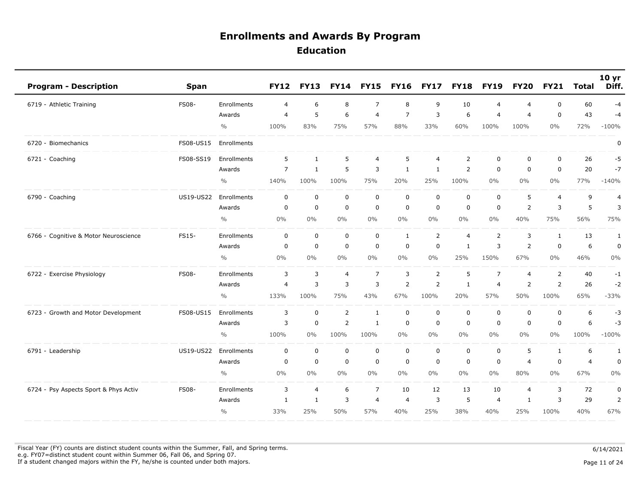| <b>Program - Description</b>          | Span         |               | <b>FY12</b>    | <b>FY13</b>  | <b>FY14</b>    | <b>FY15</b>    | <b>FY16</b>    | <b>FY17</b>    | <b>FY18</b>    | <b>FY19</b>    | <b>FY20</b>    | <b>FY21</b>    | <b>Total</b>   | 10 <sub>yr</sub><br>Diff. |
|---------------------------------------|--------------|---------------|----------------|--------------|----------------|----------------|----------------|----------------|----------------|----------------|----------------|----------------|----------------|---------------------------|
| 6719 - Athletic Training              | <b>FS08-</b> | Enrollments   | $\overline{4}$ | 6            | 8              | $\overline{7}$ | 8              | 9              | 10             | $\overline{4}$ | 4              | $\mathbf 0$    | 60             | $-4$                      |
|                                       |              | Awards        | 4              | 5            | 6              | $\overline{4}$ | $\overline{7}$ | 3              | 6              | $\overline{4}$ | $\overline{4}$ | 0              | 43             | $-4$                      |
|                                       |              | $\frac{0}{0}$ | 100%           | 83%          | 75%            | 57%            | 88%            | 33%            | 60%            | 100%           | 100%           | $0\%$          | 72%            | $-100%$                   |
| 6720 - Biomechanics                   | FS08-US15    | Enrollments   |                |              |                |                |                |                |                |                |                |                |                | 0                         |
| 6721 - Coaching                       | FS08-SS19    | Enrollments   | 5              | $\mathbf{1}$ | $\overline{5}$ | $\overline{4}$ | 5              | $\overline{4}$ | $\overline{2}$ | $\mathbf 0$    | $\mathbf 0$    | $\mathbf 0$    | 26             | $-5$                      |
|                                       |              | Awards        | $\overline{7}$ | 1            | 5              | 3              | 1              | 1              | $\overline{2}$ | $\mathbf 0$    | $\mathbf 0$    | $\mathbf 0$    | 20             | $-7$                      |
|                                       |              | $\frac{0}{0}$ | 140%           | 100%         | 100%           | 75%            | 20%            | 25%            | 100%           | $0\%$          | $0\%$          | $0\%$          | 77%            | $-140%$                   |
| 6790 - Coaching                       | US19-US22    | Enrollments   | $\mathbf 0$    | $\mathbf 0$  | $\mathbf 0$    | $\pmb{0}$      | $\mathbf 0$    | $\mathbf 0$    | $\mathbf 0$    | $\mathbf 0$    | 5              | $\overline{4}$ | 9              | $\overline{4}$            |
|                                       |              | Awards        | 0              | 0            | $\mathbf 0$    | $\mathbf 0$    | $\mathbf 0$    | 0              | $\mathbf 0$    | $\mathbf 0$    | 2              | 3              | 5              | 3                         |
|                                       |              | $\frac{0}{0}$ | $0\%$          | 0%           | 0%             | $0\%$          | $0\%$          | $0\%$          | $0\%$          | $0\%$          | 40%            | 75%            | 56%            | 75%                       |
| 6766 - Cognitive & Motor Neuroscience | FS15-        | Enrollments   | 0              | 0            | $\mathbf 0$    | 0              | 1              | 2              | $\overline{4}$ | $\overline{2}$ | 3              | $\mathbf{1}$   | 13             | $\mathbf{1}$              |
|                                       |              | Awards        | $\mathbf 0$    | 0            | $\mathbf 0$    | $\mathbf 0$    | $\mathbf 0$    | $\mathbf 0$    | $\mathbf{1}$   | 3              | $\overline{2}$ | $\mathbf 0$    | 6              | $\pmb{0}$                 |
|                                       |              | $\frac{0}{0}$ | $0\%$          | 0%           | 0%             | 0%             | 0%             | 0%             | 25%            | 150%           | 67%            | $0\%$          | 46%            | 0%                        |
| 6722 - Exercise Physiology            | <b>FS08-</b> | Enrollments   | 3              | 3            | $\overline{4}$ | $\overline{7}$ | 3              | $\overline{2}$ | 5              | $\overline{7}$ | $\overline{4}$ | 2              | 40             | $-1$                      |
|                                       |              | Awards        | 4              | 3            | 3              | 3              | 2              | 2              | $\mathbf{1}$   | $\overline{4}$ | $\overline{2}$ | 2              | 26             | $-2$                      |
|                                       |              | $\frac{0}{0}$ | 133%           | 100%         | 75%            | 43%            | 67%            | 100%           | 20%            | 57%            | 50%            | 100%           | 65%            | $-33%$                    |
| 6723 - Growth and Motor Development   | FS08-US15    | Enrollments   | 3              | $\pmb{0}$    | $\overline{2}$ | $\mathbf{1}$   | $\mathbf 0$    | $\mathbf 0$    | $\mathbf 0$    | $\mathbf 0$    | $\mathbf 0$    | $\mathbf 0$    | 6              | $-3$                      |
|                                       |              | Awards        | 3              | $\mathbf 0$  | $\overline{2}$ | 1              | $\mathbf 0$    | 0              | $\mathbf 0$    | $\mathbf 0$    | $\mathbf 0$    | 0              | 6              | $-3$                      |
|                                       |              | $\frac{0}{0}$ | 100%           | 0%           | 100%           | 100%           | 0%             | $0\%$          | $0\%$          | $0\%$          | $0\%$          | $0\%$          | 100%           | $-100%$                   |
| 6791 - Leadership                     | US19-US22    | Enrollments   | 0              | $\mathbf 0$  | $\mathbf 0$    | $\mathbf 0$    | $\mathbf 0$    | $\mathbf 0$    | $\mathbf 0$    | $\mathbf 0$    | 5              | $\mathbf{1}$   | 6              | 1                         |
|                                       |              | Awards        | 0              | $\mathbf 0$  | $\mathbf 0$    | $\mathbf 0$    | $\mathbf 0$    | $\mathbf 0$    | $\mathbf 0$    | $\mathbf 0$    | $\overline{4}$ | $\mathbf 0$    | $\overline{4}$ | $\mathbf 0$               |
|                                       |              | $\frac{0}{0}$ | $0\%$          | $0\%$        | $0\%$          | $0\%$          | 0%             | $0\%$          | $0\%$          | $0\%$          | 80%            | $0\%$          | 67%            | $0\%$                     |
| 6724 - Psy Aspects Sport & Phys Activ | <b>FS08-</b> | Enrollments   | 3              | 4            | 6              | $\overline{7}$ | 10             | 12             | 13             | 10             | $\overline{4}$ | 3              | 72             | $\pmb{0}$                 |
|                                       |              | Awards        | $\mathbf{1}$   | 1            | 3              | $\overline{4}$ | 4              | 3              | 5              | $\overline{4}$ | 1              | 3              | 29             | $\overline{2}$            |
|                                       |              | $\frac{0}{0}$ | 33%            | 25%          | 50%            | 57%            | 40%            | 25%            | 38%            | 40%            | 25%            | 100%           | 40%            | 67%                       |

Fiscal Year (FY) counts are distinct student counts within the Summer, Fall, and Spring terms.  $6/14/2021$  e.g. FY07=distinct student count within Summer 06, Fall 06, and Spring 07. If a student changed majors within the FY, he/she is counted under both majors. Page 11 of 24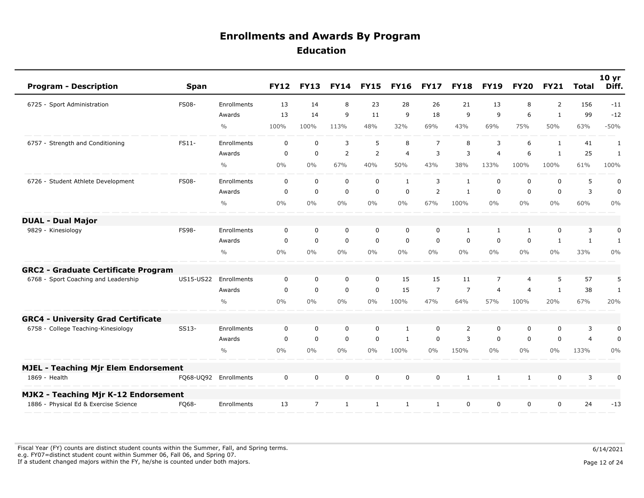| <b>Program - Description</b>                | <b>Span</b>      |                       | <b>FY12</b> | <b>FY13</b>    | <b>FY14</b>    | <b>FY15</b>    | <b>FY16</b>  | <b>FY17</b>    | <b>FY18</b>    | <b>FY19</b>    | <b>FY20</b>    | <b>FY21</b>  | <b>Total</b>   | 10 <sub>yr</sub><br>Diff. |
|---------------------------------------------|------------------|-----------------------|-------------|----------------|----------------|----------------|--------------|----------------|----------------|----------------|----------------|--------------|----------------|---------------------------|
| 6725 - Sport Administration                 | <b>FS08-</b>     | Enrollments           | 13          | 14             | 8              | 23             | 28           | 26             | 21             | 13             | 8              | 2            | 156            | $-11$                     |
|                                             |                  | Awards                | 13          | 14             | 9              | 11             | 9            | 18             | 9              | 9              | 6              | $\mathbf{1}$ | 99             | $-12$                     |
|                                             |                  | $\frac{0}{0}$         | 100%        | 100%           | 113%           | 48%            | 32%          | 69%            | 43%            | 69%            | 75%            | 50%          | 63%            | $-50%$                    |
| 6757 - Strength and Conditioning            | FS11-            | Enrollments           | $\mathbf 0$ | $\mathbf 0$    | 3              | 5              | 8            | $\overline{7}$ | 8              | 3              | 6              | 1            | 41             | 1                         |
|                                             |                  | Awards                | $\mathbf 0$ | $\pmb{0}$      | $\overline{2}$ | $\overline{2}$ | 4            | 3              | 3              | $\overline{4}$ | 6              | $\mathbf{1}$ | 25             | $\mathbf{1}$              |
|                                             |                  | $\frac{0}{0}$         | $0\%$       | $0\%$          | 67%            | 40%            | 50%          | 43%            | 38%            | 133%           | 100%           | 100%         | 61%            | 100%                      |
| 6726 - Student Athlete Development          | <b>FS08-</b>     | Enrollments           | $\mathbf 0$ | $\mathbf 0$    | $\mathbf 0$    | $\mathbf 0$    | $\mathbf{1}$ | 3              | $\mathbf{1}$   | 0              | 0              | $\mathbf 0$  | 5              | $\pmb{0}$                 |
|                                             |                  | Awards                | 0           | $\mathbf 0$    | $\mathbf 0$    | $\mathbf 0$    | 0            | 2              | $\mathbf{1}$   | 0              | 0              | 0            | 3              | $\mathbf 0$               |
|                                             |                  | $\frac{0}{0}$         | $0\%$       | $0\%$          | $0\%$          | $0\%$          | $0\%$        | 67%            | 100%           | $0\%$          | $0\%$          | 0%           | 60%            | 0%                        |
| <b>DUAL - Dual Major</b>                    |                  |                       |             |                |                |                |              |                |                |                |                |              |                |                           |
| 9829 - Kinesiology                          | FS98-            | Enrollments           | 0           | 0              | 0              | $\mathbf 0$    | 0            | 0              | 1              | 1              | $\mathbf{1}$   | 0            | 3              | 0                         |
|                                             |                  | Awards                | $\mathbf 0$ | $\mathbf 0$    | $\mathbf 0$    | $\mathbf 0$    | $\mathbf 0$  | $\Omega$       | $\Omega$       | $\Omega$       | $\mathbf 0$    | 1            | $\mathbf{1}$   | 1                         |
|                                             |                  | $\frac{0}{0}$         | 0%          | $0\%$          | $0\%$          | $0\%$          | $0\%$        | $0\%$          | $0\%$          | $0\%$          | $0\%$          | $0\%$        | 33%            | 0%                        |
| <b>GRC2 - Graduate Certificate Program</b>  |                  |                       |             |                |                |                |              |                |                |                |                |              |                |                           |
| 6768 - Sport Coaching and Leadership        | <b>US15-US22</b> | Enrollments           | $\mathbf 0$ | $\mathbf 0$    | $\mathbf 0$    | $\mathbf 0$    | 15           | 15             | 11             | $\overline{7}$ | 4              | 5            | 57             | 5                         |
|                                             |                  | Awards                | $\mathbf 0$ | $\mathbf 0$    | $\mathbf 0$    | $\mathbf 0$    | 15           | $\overline{7}$ | $\overline{7}$ | $\overline{4}$ | $\overline{4}$ | -1           | 38             | 1                         |
|                                             |                  | $\frac{0}{0}$         | $0\%$       | $0\%$          | $0\%$          | $0\%$          | 100%         | 47%            | 64%            | 57%            | 100%           | 20%          | 67%            | 20%                       |
| <b>GRC4 - University Grad Certificate</b>   |                  |                       |             |                |                |                |              |                |                |                |                |              |                |                           |
| 6758 - College Teaching-Kinesiology         | SS13-            | Enrollments           | $\mathbf 0$ | 0              | $\mathbf 0$    | $\mathbf 0$    | 1            | 0              | 2              | 0              | 0              | 0            | 3              | 0                         |
|                                             |                  | Awards                | $\Omega$    | $\mathbf 0$    | $\mathbf 0$    | $\mathbf 0$    | $\mathbf{1}$ | $\mathbf 0$    | 3              | $\Omega$       | $\mathbf{0}$   | $\mathbf 0$  | $\overline{4}$ | 0                         |
|                                             |                  | $\frac{0}{0}$         | $0\%$       | $0\%$          | $0\%$          | $0\%$          | 100%         | $0\%$          | 150%           | $0\%$          | $0\%$          | 0%           | 133%           | $0\%$                     |
| <b>MJEL - Teaching Mjr Elem Endorsement</b> |                  |                       |             |                |                |                |              |                |                |                |                |              |                |                           |
| 1869 - Health                               |                  | FQ68-UQ92 Enrollments | $\mathbf 0$ | $\mathbf 0$    | $\mathbf 0$    | $\mathbf 0$    | $\mathbf 0$  | $\mathbf 0$    | 1              | 1              | $\mathbf{1}$   | $\mathbf 0$  | 3              | 0                         |
| MJK2 - Teaching Mjr K-12 Endorsement        |                  |                       |             |                |                |                |              |                |                |                |                |              |                |                           |
| 1886 - Physical Ed & Exercise Science       | FQ68-            | Enrollments           | 13          | $\overline{7}$ | $\mathbf{1}$   | $\mathbf{1}$   | $\mathbf{1}$ | 1              | 0              | 0              | 0              | $\mathbf 0$  | 24             | $-13$                     |

Fiscal Year (FY) counts are distinct student counts within the Summer, Fall, and Spring terms.  $6/14/2021$  e.g. FY07=distinct student count within Summer 06, Fall 06, and Spring 07. If a student changed majors within the FY, he/she is counted under both majors. Page 12 of 24 page 12 of 24 page 12 of 24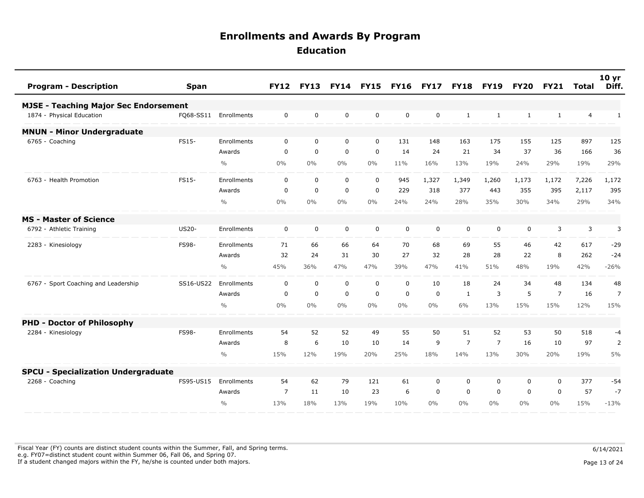| <b>Program - Description</b>                 | <b>Span</b>  |                       | <b>FY12</b>    | <b>FY13</b> | <b>FY14</b> | <b>FY15</b> | <b>FY16</b>  | <b>FY17</b> | <b>FY18</b>    | <b>FY19</b>    | <b>FY20</b>  | <b>FY21</b>    | <b>Total</b>   | 10 <sub>yr</sub><br>Diff. |
|----------------------------------------------|--------------|-----------------------|----------------|-------------|-------------|-------------|--------------|-------------|----------------|----------------|--------------|----------------|----------------|---------------------------|
| <b>MJSE - Teaching Major Sec Endorsement</b> |              |                       |                |             |             |             |              |             |                |                |              |                |                |                           |
| 1874 - Physical Education                    |              | FQ68-SS11 Enrollments | $\mathbf 0$    | $\mathbf 0$ | $\mathbf 0$ | $\mathbf 0$ | $\mathbf 0$  | $\mathbf 0$ | $\mathbf{1}$   | 1              | $\mathbf{1}$ | $\mathbf{1}$   | $\overline{4}$ | $\mathbf{1}$              |
| <b>MNUN - Minor Undergraduate</b>            |              |                       |                |             |             |             |              |             |                |                |              |                |                |                           |
| 6765 - Coaching                              | FS15-        | Enrollments           | 0              | $\mathbf 0$ | $\mathbf 0$ | $\mathbf 0$ | 131          | 148         | 163            | 175            | 155          | 125            | 897            | 125                       |
|                                              |              | Awards                | $\mathbf 0$    | $\mathbf 0$ | $\mathbf 0$ | $\mathbf 0$ | 14           | 24          | 21             | 34             | 37           | 36             | 166            | 36                        |
|                                              |              | $\frac{0}{0}$         | $0\%$          | $0\%$       | $0\%$       | $0\%$       | 11%          | 16%         | 13%            | 19%            | 24%          | 29%            | 19%            | 29%                       |
| 6763 - Health Promotion                      | FS15-        | Enrollments           | $\mathbf 0$    | $\mathbf 0$ | $\mathbf 0$ | $\mathbf 0$ | 945          | 1,327       | 1,349          | 1,260          | 1,173        | 1,172          | 7,226          | 1,172                     |
|                                              |              | Awards                | 0              | $\mathbf 0$ | $\mathsf 0$ | $\mathsf 0$ | 229          | 318         | 377            | 443            | 355          | 395            | 2,117          | 395                       |
|                                              |              | $\frac{0}{0}$         | $0\%$          | $0\%$       | $0\%$       | $0\%$       | 24%          | 24%         | 28%            | 35%            | 30%          | 34%            | 29%            | 34%                       |
| <b>MS - Master of Science</b>                |              |                       |                |             |             |             |              |             |                |                |              |                |                |                           |
| 6792 - Athletic Training                     | <b>US20-</b> | Enrollments           | $\mathbf 0$    | $\mathbf 0$ | $\mathbf 0$ | $\mathbf 0$ | $\mathsf{O}$ | $\mathbf 0$ | $\mathbf 0$    | $\mathbf 0$    | 0            | 3              | 3              | 3                         |
| 2283 - Kinesiology                           | FS98-        | Enrollments           | 71             | 66          | 66          | 64          | 70           | 68          | 69             | 55             | 46           | 42             | 617            | $-29$                     |
|                                              |              | Awards                | 32             | 24          | 31          | 30          | 27           | 32          | 28             | 28             | 22           | 8              | 262            | $-24$                     |
|                                              |              | $\frac{0}{0}$         | 45%            | 36%         | 47%         | 47%         | 39%          | 47%         | 41%            | 51%            | 48%          | 19%            | 42%            | $-26%$                    |
| 6767 - Sport Coaching and Leadership         | SS16-US22    | Enrollments           | $\mathbf 0$    | $\mathbf 0$ | $\mathbf 0$ | $\mathbf 0$ | $\mathbf 0$  | 10          | 18             | 24             | 34           | 48             | 134            | 48                        |
|                                              |              | Awards                | $\mathbf{0}$   | $\Omega$    | $\mathbf 0$ | $\mathbf 0$ | $\Omega$     | $\mathbf 0$ | $\mathbf{1}$   | 3              | 5            | $\overline{7}$ | 16             | $\overline{7}$            |
|                                              |              | $\frac{0}{0}$         | 0%             | $0\%$       | $0\%$       | $0\%$       | $0\%$        | $0\%$       | 6%             | 13%            | 15%          | 15%            | 12%            | 15%                       |
| <b>PHD - Doctor of Philosophy</b>            |              |                       |                |             |             |             |              |             |                |                |              |                |                |                           |
| 2284 - Kinesiology                           | <b>FS98-</b> | Enrollments           | 54             | 52          | 52          | 49          | 55           | 50          | 51             | 52             | 53           | 50             | 518            | -4                        |
|                                              |              | Awards                | 8              | 6           | 10          | 10          | 14           | 9           | $\overline{7}$ | $\overline{7}$ | 16           | 10             | 97             | $\overline{2}$            |
|                                              |              | $\frac{0}{0}$         | 15%            | 12%         | 19%         | 20%         | 25%          | 18%         | 14%            | 13%            | 30%          | 20%            | 19%            | 5%                        |
| <b>SPCU - Specialization Undergraduate</b>   |              |                       |                |             |             |             |              |             |                |                |              |                |                |                           |
| 2268 - Coaching                              | FS95-US15    | Enrollments           | 54             | 62          | 79          | 121         | 61           | $\mathbf 0$ | $\mathbf 0$    | $\mathbf 0$    | 0            | $\mathbf 0$    | 377            | $-54$                     |
|                                              |              | Awards                | $\overline{7}$ | 11          | 10          | 23          | 6            | $\mathbf 0$ | 0              | $\mathbf 0$    | $\mathbf 0$  | $\mathbf 0$    | 57             | $-7$                      |
|                                              |              | $\frac{0}{0}$         | 13%            | 18%         | 13%         | 19%         | 10%          | $0\%$       | $0\%$          | $0\%$          | $0\%$        | $0\%$          | 15%            | $-13%$                    |

Fiscal Year (FY) counts are distinct student counts within the Summer, Fall, and Spring terms.  $6/14/2021$  e.g. FY07=distinct student count within Summer 06, Fall 06, and Spring 07. If a student changed majors within the FY, he/she is counted under both majors. Page 13 of 24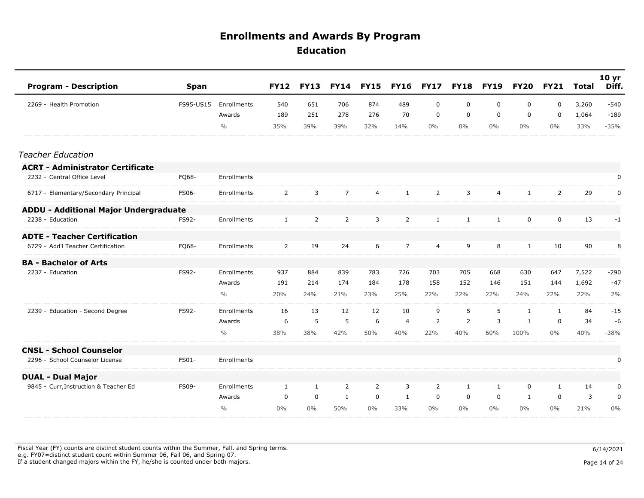| <b>Program - Description</b>            | <b>Span</b>  |               | <b>FY12</b>    | <b>FY13</b>    | <b>FY14</b>    | <b>FY15</b>    | <b>FY16</b>    | <b>FY17</b>    | <b>FY18</b>  | <b>FY19</b>    | <b>FY20</b>  | <b>FY21</b>    | <b>Total</b> | 10 <sub>yr</sub><br>Diff. |
|-----------------------------------------|--------------|---------------|----------------|----------------|----------------|----------------|----------------|----------------|--------------|----------------|--------------|----------------|--------------|---------------------------|
| 2269 - Health Promotion                 | FS95-US15    | Enrollments   | 540            | 651            | 706            | 874            | 489            | $\mathbf 0$    | 0            | 0              | 0            | $\mathbf 0$    | 3,260        | $-540$                    |
|                                         |              | Awards        | 189            | 251            | 278            | 276            | 70             | $\mathbf 0$    | 0            | 0              | 0            | $\overline{0}$ | 1,064        | $-189$                    |
|                                         |              | $\frac{0}{0}$ | 35%            | 39%            | 39%            | 32%            | 14%            | $0\%$          | $0\%$        | $0\%$          | $0\%$        | $0\%$          | 33%          | $-35%$                    |
| <b>Teacher Education</b>                |              |               |                |                |                |                |                |                |              |                |              |                |              |                           |
| <b>ACRT - Administrator Certificate</b> |              |               |                |                |                |                |                |                |              |                |              |                |              |                           |
| 2232 - Central Office Level             | FQ68-        | Enrollments   |                |                |                |                |                |                |              |                |              |                |              | 0                         |
| 6717 - Elementary/Secondary Principal   | FS06-        | Enrollments   | $\overline{2}$ | 3              | $\overline{7}$ | 4              | $\mathbf{1}$   | $\overline{2}$ | 3            | $\overline{4}$ | $\mathbf{1}$ | $\overline{2}$ | 29           | 0                         |
| ADDU - Additional Major Undergraduate   |              |               |                |                |                |                |                |                |              |                |              |                |              |                           |
| 2238 - Education                        | FS92-        | Enrollments   | $\mathbf{1}$   | $\overline{2}$ | 2              | 3              | $\overline{2}$ | $\mathbf{1}$   | $\mathbf{1}$ | $\mathbf{1}$   | $\mathbf 0$  | $\mathbf 0$    | 13           | $-1$                      |
| <b>ADTE - Teacher Certification</b>     |              |               |                |                |                |                |                |                |              |                |              |                |              |                           |
| 6729 - Add'l Teacher Certification      | FQ68-        | Enrollments   | $\overline{2}$ | 19             | 24             | 6              | 7              | $\overline{4}$ | 9            | 8              | $\mathbf{1}$ | 10             | 90           | 8                         |
| <b>BA - Bachelor of Arts</b>            |              |               |                |                |                |                |                |                |              |                |              |                |              |                           |
| 2237 - Education                        | FS92-        | Enrollments   | 937            | 884            | 839            | 783            | 726            | 703            | 705          | 668            | 630          | 647            | 7,522        | $-290$                    |
|                                         |              | Awards        | 191            | 214            | 174            | 184            | 178            | 158            | 152          | 146            | 151          | 144            | 1,692        | $-47$                     |
|                                         |              | $\frac{0}{0}$ | 20%            | 24%            | 21%            | 23%            | 25%            | 22%            | 22%          | 22%            | 24%          | 22%            | 22%          | 2%                        |
| 2239 - Education - Second Degree        | FS92-        | Enrollments   | 16             | 13             | 12             | 12             | 10             | 9              | 5            | 5              | $\mathbf{1}$ | $\mathbf{1}$   | 84           | $-15$                     |
|                                         |              | Awards        | 6              | 5              | 5              | 6              | $\overline{4}$ | 2              | 2            | 3              | $\mathbf{1}$ | $\Omega$       | 34           | $-6$                      |
|                                         |              | $\frac{0}{0}$ | 38%            | 38%            | 42%            | 50%            | 40%            | 22%            | 40%          | 60%            | 100%         | $0\%$          | 40%          | $-38%$                    |
| <b>CNSL - School Counselor</b>          |              |               |                |                |                |                |                |                |              |                |              |                |              |                           |
| 2296 - School Counselor License         | FS01-        | Enrollments   |                |                |                |                |                |                |              |                |              |                |              | 0                         |
| <b>DUAL - Dual Major</b>                |              |               |                |                |                |                |                |                |              |                |              |                |              |                           |
| 9845 - Curr, Instruction & Teacher Ed   | <b>FS09-</b> | Enrollments   | 1              | $\mathbf{1}$   | $\overline{2}$ | $\overline{2}$ | 3              | $\overline{2}$ | 1            | $\mathbf{1}$   | 0            | $\mathbf{1}$   | 14           | 0                         |
|                                         |              | Awards        | 0              | 0              | 1              | $\mathbf 0$    | 1              | 0              | 0            | 0              | 1            | $\mathbf 0$    | 3            | 0                         |
|                                         |              | $\frac{0}{0}$ | $0\%$          | $0\%$          | 50%            | $0\%$          | 33%            | $0\%$          | $0\%$        | $0\%$          | $0\%$        | 0%             | 21%          | 0%                        |

Fiscal Year (FY) counts are distinct student counts within the Summer, Fall, and Spring terms.  $6/14/2021$  e.g. FY07=distinct student count within Summer 06, Fall 06, and Spring 07. If a student changed majors within the FY, he/she is counted under both majors. Page 14 of 24 of 24 of 24 of 24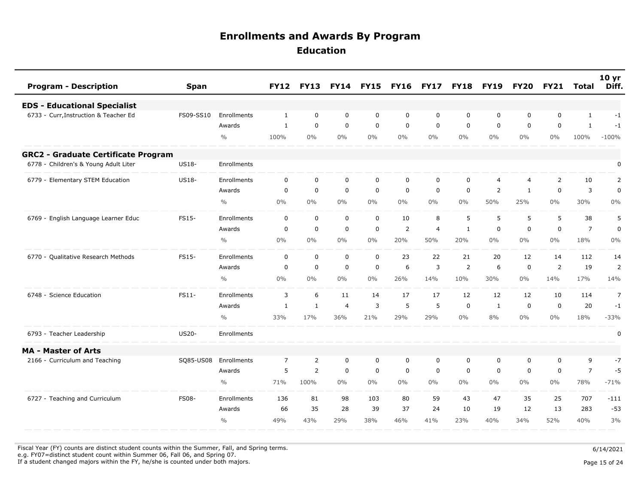| <b>Program - Description</b><br><b>Span</b>           |               | <b>FY12</b>    | <b>FY13</b>  | <b>FY14</b>    | <b>FY15</b> | <b>FY16</b> | <b>FY17</b>    | <b>FY18</b>  | <b>FY19</b>    | <b>FY20</b>    | <b>FY21</b> | <b>Total</b>   | 10 <sub>yr</sub><br>Diff. |
|-------------------------------------------------------|---------------|----------------|--------------|----------------|-------------|-------------|----------------|--------------|----------------|----------------|-------------|----------------|---------------------------|
| <b>EDS - Educational Specialist</b>                   |               |                |              |                |             |             |                |              |                |                |             |                |                           |
| 6733 - Curr, Instruction & Teacher Ed<br>FS09-SS10    | Enrollments   | $\mathbf{1}$   | $\mathbf 0$  | $\mathbf 0$    | $\mathbf 0$ | $\mathbf 0$ | $\mathbf 0$    | $\mathbf 0$  | $\mathbf 0$    | 0              | $\mathbf 0$ | <sup>1</sup>   | $-1$                      |
|                                                       | Awards        | 1              | $\mathbf 0$  | $\mathbf 0$    | $\mathbf 0$ | $\mathbf 0$ | $\mathbf 0$    | $\mathbf 0$  | $\mathbf 0$    | 0              | $\mathbf 0$ | $\mathbf{1}$   | $-1$                      |
|                                                       | $\frac{0}{0}$ | 100%           | $0\%$        | $0\%$          | $0\%$       | $0\%$       | $0\%$          | $0\%$        | $0\%$          | $0\%$          | $0\%$       | 100%           | $-100%$                   |
| <b>GRC2 - Graduate Certificate Program</b>            |               |                |              |                |             |             |                |              |                |                |             |                |                           |
| 6778 - Children's & Young Adult Liter<br><b>US18-</b> | Enrollments   |                |              |                |             |             |                |              |                |                |             |                | 0                         |
| <b>US18-</b><br>6779 - Elementary STEM Education      | Enrollments   | $\mathbf 0$    | $\mathbf 0$  | $\mathbf 0$    | $\mathbf 0$ | $\mathbf 0$ | $\mathbf 0$    | $\mathbf 0$  | $\overline{4}$ | $\overline{4}$ | 2           | 10             | $\overline{2}$            |
|                                                       | Awards        | 0              | $\mathbf 0$  | $\mathbf 0$    | $\mathbf 0$ | 0           | $\mathbf 0$    | $\mathbf 0$  | $\overline{2}$ | 1              | $\mathbf 0$ | 3              | $\pmb{0}$                 |
|                                                       | $\frac{0}{0}$ | 0%             | $0\%$        | $0\%$          | $0\%$       | $0\%$       | $0\%$          | $0\%$        | 50%            | 25%            | $0\%$       | 30%            | 0%                        |
| FS15-<br>6769 - English Language Learner Educ         | Enrollments   | $\mathbf 0$    | $\mathbf 0$  | $\mathbf 0$    | $\mathbf 0$ | 10          | 8              | 5            | 5              | 5              | 5           | 38             | 5                         |
|                                                       | Awards        | 0              | $\mathbf 0$  | $\mathbf 0$    | $\mathbf 0$ | 2           | $\overline{4}$ | $\mathbf{1}$ | $\mathbf 0$    | 0              | $\mathbf 0$ | $\overline{7}$ | $\mathbf 0$               |
|                                                       | $\frac{0}{0}$ | 0%             | $0\%$        | $0\%$          | $0\%$       | 20%         | 50%            | 20%          | $0\%$          | $0\%$          | $0\%$       | 18%            | 0%                        |
| FS15-<br>6770 - Qualitative Research Methods          | Enrollments   | $\mathbf 0$    | $\mathbf 0$  | $\mathbf 0$    | $\mathbf 0$ | 23          | 22             | 21           | 20             | 12             | 14          | 112            | 14                        |
|                                                       | Awards        | 0              | $\mathbf 0$  | $\mathbf 0$    | $\mathsf 0$ | 6           | $\overline{3}$ | 2            | 6              | 0              | 2           | 19             | $\overline{2}$            |
|                                                       | $\frac{0}{0}$ | 0%             | $0\%$        | $0\%$          | $0\%$       | 26%         | 14%            | 10%          | 30%            | $0\%$          | 14%         | 17%            | 14%                       |
| 6748 - Science Education<br>FS11-                     | Enrollments   | 3              | 6            | 11             | 14          | 17          | 17             | 12           | 12             | 12             | 10          | 114            | $\overline{7}$            |
|                                                       | Awards        | 1              | $\mathbf{1}$ | $\overline{4}$ | 3           | 5           | 5              | 0            | $\mathbf{1}$   | 0              | $\mathbf 0$ | 20             | $-1$                      |
|                                                       | $\frac{0}{0}$ | 33%            | 17%          | 36%            | 21%         | 29%         | 29%            | $0\%$        | 8%             | $0\%$          | $0\%$       | 18%            | $-33%$                    |
| <b>US20-</b><br>6793 - Teacher Leadership             | Enrollments   |                |              |                |             |             |                |              |                |                |             |                | 0                         |
| <b>MA - Master of Arts</b>                            |               |                |              |                |             |             |                |              |                |                |             |                |                           |
| 2166 - Curriculum and Teaching<br>SQ85-US08           | Enrollments   | $\overline{7}$ | 2            | $\mathbf 0$    | $\mathbf 0$ | $\mathbf 0$ | $\mathbf 0$    | $\mathbf 0$  | $\mathbf 0$    | 0              | $\mathbf 0$ | 9              | $-7$                      |
|                                                       | Awards        | 5              | 2            | $\mathbf 0$    | $\mathbf 0$ | $\mathbf 0$ | $\mathbf 0$    | 0            | 0              | 0              | $\mathbf 0$ | $\overline{7}$ | $-5$                      |
|                                                       | $\frac{0}{0}$ | 71%            | 100%         | $0\%$          | $0\%$       | $0\%$       | $0\%$          | $0\%$        | $0\%$          | $0\%$          | $0\%$       | 78%            | $-71%$                    |
| 6727 - Teaching and Curriculum<br><b>FS08-</b>        | Enrollments   | 136            | 81           | 98             | 103         | 80          | 59             | 43           | 47             | 35             | 25          | 707            | $-111$                    |
|                                                       | Awards        | 66             | 35           | 28             | 39          | 37          | 24             | 10           | 19             | 12             | 13          | 283            | $-53$                     |
|                                                       | $\frac{0}{0}$ | 49%            | 43%          | 29%            | 38%         | 46%         | 41%            | 23%          | 40%            | 34%            | 52%         | 40%            | 3%                        |

Fiscal Year (FY) counts are distinct student counts within the Summer, Fall, and Spring terms.  $6/14/2021$ 

e.g. FY07=distinct student count within Summer 06, Fall 06, and Spring 07.

If a student changed majors within the FY, he/she is counted under both majors. Page 15 of 24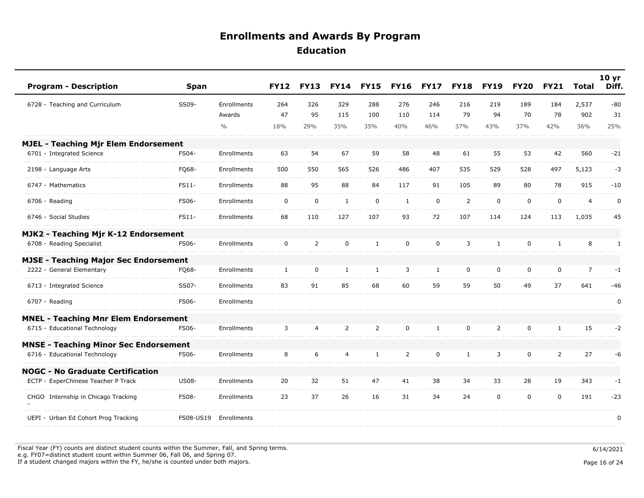| <b>Program - Description</b>                 | <b>Span</b>  |                    | <b>FY12</b>  | <b>FY13</b>    | <b>FY14</b>    | <b>FY15</b>    | <b>FY16</b>    | <b>FY17</b>  | <b>FY18</b>    | <b>FY19</b>    | <b>FY20</b> | <b>FY21</b>    | <b>Total</b>   | 10 <sub>yr</sub><br>Diff. |
|----------------------------------------------|--------------|--------------------|--------------|----------------|----------------|----------------|----------------|--------------|----------------|----------------|-------------|----------------|----------------|---------------------------|
| 6728 - Teaching and Curriculum               | SS09-        | Enrollments        | 264          | 326            | 329            | 288            | 276            | 246          | 216            | 219            | 189         | 184            | 2,537          | $-80$                     |
|                                              |              | Awards             | 47           | 95             | 115            | 100            | 110            | 114          | 79             | 94             | 70          | 78             | 902            | 31                        |
|                                              |              | $\frac{0}{0}$      | 18%          | 29%            | 35%            | 35%            | 40%            | 46%          | 37%            | 43%            | 37%         | 42%            | 36%            | 25%                       |
| <b>MJEL - Teaching Mjr Elem Endorsement</b>  |              |                    |              |                |                |                |                |              |                |                |             |                |                |                           |
| 6701 - Integrated Science                    | FS04-        | Enrollments        | 63           | 54             | 67             | 59             | 58             | 48           | 61             | 55             | 53          | 42             | 560            | $-21$                     |
| 2198 - Language Arts                         | FQ68-        | Enrollments        | 500          | 550            | 565            | 526            | 486            | 407          | 535            | 529            | 528         | 497            | 5,123          | $-3$                      |
| 6747 - Mathematics                           | FS11-        | Enrollments        | 88           | 95             | 88             | 84             | 117            | 91           | 105            | 89             | 80          | 78             | 915            | $-10$                     |
| 6706 - Reading                               | <b>FS06-</b> | Enrollments        | 0            | $\mathbf 0$    | $\mathbf{1}$   | $\mathbf 0$    | $\mathbf{1}$   | $\mathbf 0$  | $\overline{2}$ | $\mathbf 0$    | $\mathbf 0$ | $\mathbf 0$    | $\overline{4}$ | $\mathbf 0$               |
| 6746 - Social Studies                        | FS11-        | Enrollments        | 68           | 110            | 127            | 107            | 93             | 72           | 107            | 114            | 124         | 113            | 1,035          | 45                        |
| MJK2 - Teaching Mjr K-12 Endorsement         |              |                    |              |                |                |                |                |              |                |                |             |                |                |                           |
| 6708 - Reading Specialist                    | FS06-        | Enrollments        | $\mathbf 0$  | $\overline{2}$ | $\mathbf 0$    | $\mathbf{1}$   | $\mathbf 0$    | $\mathbf 0$  | 3              | $\mathbf{1}$   | 0           | $\mathbf{1}$   | 8              | 1                         |
| <b>MJSE - Teaching Major Sec Endorsement</b> |              |                    |              |                |                |                |                |              |                |                |             |                |                |                           |
| 2222 - General Elementary                    | FQ68-        | Enrollments        | $\mathbf{1}$ | $\mathbf 0$    | $\mathbf{1}$   | $\mathbf{1}$   | 3              | $\mathbf{1}$ | $\mathbf 0$    | 0              | 0           | $\mathbf 0$    | $\overline{7}$ | $-1$                      |
| 6713 - Integrated Science                    | SS07-        | Enrollments        | 83           | 91             | 85             | 68             | 60             | 59           | 59             | 50             | 49          | 37             | 641            | $-46$                     |
| 6707 - Reading                               | FS06-        | <b>Enrollments</b> |              |                |                |                |                |              |                |                |             |                |                | $\mathbf 0$               |
| <b>MNEL - Teaching Mnr Elem Endorsement</b>  |              |                    |              |                |                |                |                |              |                |                |             |                |                |                           |
| 6715 - Educational Technology                | FS06-        | Enrollments        | 3            | $\overline{4}$ | $\overline{2}$ | $\overline{2}$ | $\mathbf 0$    | $\mathbf{1}$ | $\mathbf 0$    | $\overline{2}$ | 0           | $\mathbf{1}$   | 15             | $-2$                      |
| <b>MNSE - Teaching Minor Sec Endorsement</b> |              |                    |              |                |                |                |                |              |                |                |             |                |                |                           |
| 6716 - Educational Technology                | FS06-        | Enrollments        | 8            | 6              | $\overline{4}$ | $\mathbf{1}$   | $\overline{2}$ | $\mathbf 0$  | $\mathbf{1}$   | 3              | 0           | $\overline{2}$ | 27             | -6                        |
| <b>NOGC - No Graduate Certification</b>      |              |                    |              |                |                |                |                |              |                |                |             |                |                |                           |
| ECTP - ExperChinese Teacher P Track          | <b>US08-</b> | <b>Enrollments</b> | 20           | 32             | 51             | 47             | 41             | 38           | 34             | 33             | 28          | 19             | 343            | $-1$                      |
| CHGO Internship in Chicago Tracking          | <b>FS08-</b> | Enrollments        | 23           | 37             | 26             | 16             | 31             | 34           | 24             | $\mathbf 0$    | $\mathbf 0$ | $\mathbf 0$    | 191            | $-23$                     |
| UEPI - Urban Ed Cohort Prog Tracking         | FS08-US19    | Enrollments        |              |                |                |                |                |              |                |                |             |                |                | 0                         |

Fiscal Year (FY) counts are distinct student counts within the Summer, Fall, and Spring terms.  $6/14/2021$  e.g. FY07=distinct student count within Summer 06, Fall 06, and Spring 07. If a student changed majors within the FY, he/she is counted under both majors. Page 16 of 24

Page 16 of 24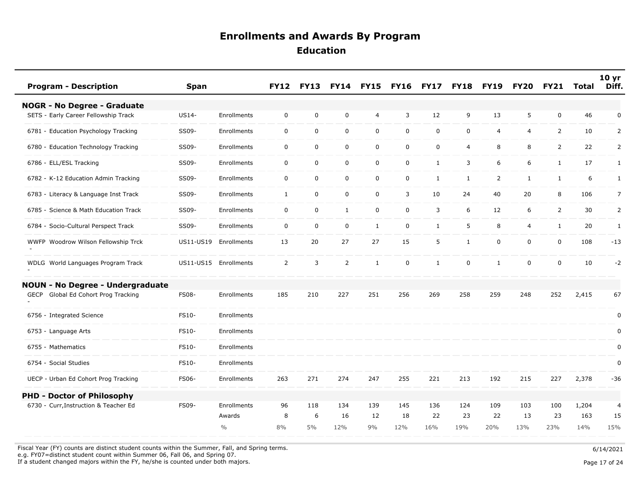| <b>Program - Description</b>                  | <b>Span</b>  |               | <b>FY12</b>    | <b>FY13</b> | <b>FY14</b>    | <b>FY15</b>  | <b>FY16</b>  | <b>FY17</b>  | <b>FY18</b>    | <b>FY19</b>    | FY20           | <b>FY21</b>    | Total | 10 <sub>yr</sub><br>Diff. |
|-----------------------------------------------|--------------|---------------|----------------|-------------|----------------|--------------|--------------|--------------|----------------|----------------|----------------|----------------|-------|---------------------------|
| <b>NOGR - No Degree - Graduate</b>            |              |               |                |             |                |              |              |              |                |                |                |                |       |                           |
| SETS - Early Career Fellowship Track          | US14-        | Enrollments   | 0              | 0           | 0              | 4            | 3            | 12           | 9              | 13             | 5              | $\mathbf 0$    | 46    | $\pmb{0}$                 |
| 6781 - Education Psychology Tracking          | SS09-        | Enrollments   | $\mathbf 0$    | 0           | $\mathbf 0$    | 0            | 0            | $\mathbf 0$  | $\mathbf 0$    | $\overline{a}$ | $\overline{4}$ | $\overline{2}$ | 10    | 2                         |
| 6780 - Education Technology Tracking          | SS09-        | Enrollments   | $\mathbf 0$    | 0           | $\mathbf 0$    | 0            | $\mathbf 0$  | 0            | $\overline{4}$ | 8              | 8              | $\overline{2}$ | 22    | 2                         |
| 6786 - ELL/ESL Tracking                       | SS09-        | Enrollments   | $\mathbf 0$    | 0           | $\mathbf 0$    | 0            | 0            | $\mathbf{1}$ | 3              | 6              | 6              | $\mathbf{1}$   | 17    | 1                         |
| 6782 - K-12 Education Admin Tracking          | SS09-        | Enrollments   | 0              | 0           | 0              | 0            | $\mathbf 0$  | 1            | $\mathbf{1}$   | $\overline{2}$ | $\mathbf{1}$   | $\mathbf{1}$   | 6     | $\mathbf{1}$              |
| 6783 - Literacy & Language Inst Track         | SS09-        | Enrollments   | $\mathbf{1}$   | 0           | $\mathbf 0$    | 0            | 3            | 10           | 24             | 40             | 20             | 8              | 106   | $\overline{7}$            |
| 6785 - Science & Math Education Track         | SS09-        | Enrollments   | $\mathbf 0$    | 0           | $\mathbf{1}$   | 0            | $\mathsf{O}$ | 3            | 6              | 12             | 6              | $\overline{2}$ | 30    | 2                         |
| 6784 - Socio-Cultural Perspect Track          | SS09-        | Enrollments   | $\mathbf 0$    | 0           | $\mathbf 0$    | $\mathbf{1}$ | 0            | $\mathbf{1}$ | 5              | 8              | 4              | $\mathbf{1}$   | 20    | $\mathbf{1}$              |
| WWFP Woodrow Wilson Fellowship Trck           | US11-US19    | Enrollments   | 13             | 20          | 27             | 27           | 15           | 5            | $\mathbf{1}$   | $\mathbf 0$    | $\mathbf 0$    | $\mathbf 0$    | 108   | $-13$                     |
| WDLG World Languages Program Track            | US11-US15    | Enrollments   | $\overline{2}$ | 3           | $\overline{2}$ | 1            | 0            | 1            | $\mathbf 0$    | $\mathbf{1}$   | 0              | 0              | 10    | $-2$                      |
| <b>NOUN - No Degree - Undergraduate</b>       |              |               |                |             |                |              |              |              |                |                |                |                |       |                           |
| Global Ed Cohort Prog Tracking<br><b>GECP</b> | <b>FS08-</b> | Enrollments   | 185            | 210         | 227            | 251          | 256          | 269          | 258            | 259            | 248            | 252            | 2,415 | 67                        |
| 6756 - Integrated Science                     | FS10-        | Enrollments   |                |             |                |              |              |              |                |                |                |                |       | 0                         |
| 6753 - Language Arts                          | FS10-        | Enrollments   |                |             |                |              |              |              |                |                |                |                |       | 0                         |
| 6755 - Mathematics                            | FS10-        | Enrollments   |                |             |                |              |              |              |                |                |                |                |       | 0                         |
| 6754 - Social Studies                         | FS10-        | Enrollments   |                |             |                |              |              |              |                |                |                |                |       | $\pmb{0}$                 |
| UECP - Urban Ed Cohort Prog Tracking          | <b>FS06-</b> | Enrollments   | 263            | 271         | 274            | 247          | 255          | 221          | 213            | 192            | 215            | 227            | 2,378 | $-36$                     |
| <b>PHD - Doctor of Philosophy</b>             |              |               |                |             |                |              |              |              |                |                |                |                |       |                           |
| 6730 - Curr, Instruction & Teacher Ed         | <b>FS09-</b> | Enrollments   | 96             | 118         | 134            | 139          | 145          | 136          | 124            | 109            | 103            | 100            | 1,204 | 4                         |
|                                               |              | Awards        | 8              | 6           | 16             | 12           | 18           | 22           | 23             | 22             | 13             | 23             | 163   | 15                        |
|                                               |              | $\frac{0}{0}$ | 8%             | 5%          | 12%            | 9%           | 12%          | 16%          | 19%            | 20%            | 13%            | 23%            | 14%   | 15%                       |

Fiscal Year (FY) counts are distinct student counts within the Summer, Fall, and Spring terms.

e.g. FY07=distinct student count within Summer 06, Fall 06, and Spring 07.

If a student changed majors within the FY, he/she is counted under both majors.

6/14/2021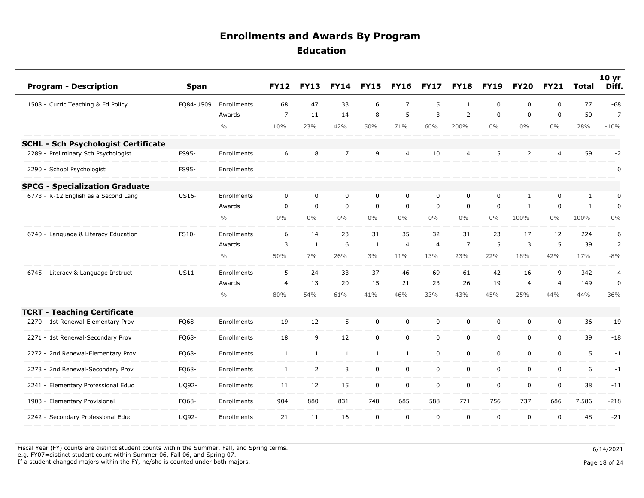| <b>Program - Description</b>               | <b>Span</b> |               | <b>FY12</b>    | <b>FY13</b>    | <b>FY14</b>    | <b>FY15</b>  | <b>FY16</b>    | <b>FY17</b>    | <b>FY18</b>    | <b>FY19</b> | <b>FY20</b>    | <b>FY21</b>    | <b>Total</b> | 10 <sub>yr</sub><br>Diff. |
|--------------------------------------------|-------------|---------------|----------------|----------------|----------------|--------------|----------------|----------------|----------------|-------------|----------------|----------------|--------------|---------------------------|
| 1508 - Curric Teaching & Ed Policy         | FQ84-US09   | Enrollments   | 68             | 47             | 33             | 16           | $\overline{7}$ | 5              | $\mathbf{1}$   | $\Omega$    | $\Omega$       | $\mathbf 0$    | 177          | $-68$                     |
|                                            |             | Awards        | $\overline{7}$ | 11             | 14             | 8            | 5              | 3              | 2              | $\Omega$    | 0              | $\mathbf 0$    | 50           | $-7$                      |
|                                            |             | $\frac{0}{0}$ | 10%            | 23%            | 42%            | 50%          | 71%            | 60%            | 200%           | $0\%$       | $0\%$          | $0\%$          | 28%          | $-10%$                    |
| <b>SCHL - Sch Psychologist Certificate</b> |             |               |                |                |                |              |                |                |                |             |                |                |              |                           |
| 2289 - Preliminary Sch Psychologist        | FS95-       | Enrollments   | 6              | 8              | $\overline{7}$ | 9            | $\overline{4}$ | 10             | $\overline{4}$ | 5           | $\overline{2}$ | $\overline{4}$ | 59           | $-2$                      |
| 2290 - School Psychologist                 | FS95-       | Enrollments   |                |                |                |              |                |                |                |             |                |                |              | 0                         |
| <b>SPCG - Specialization Graduate</b>      |             |               |                |                |                |              |                |                |                |             |                |                |              |                           |
| 6773 - K-12 English as a Second Lang       | US16-       | Enrollments   | $\mathbf 0$    | $\mathbf 0$    | $\mathbf 0$    | $\mathbf 0$  | $\mathbf 0$    | $\mathbf 0$    | $\mathbf 0$    | $\mathbf 0$ | $\mathbf{1}$   | $\mathbf 0$    | $\mathbf{1}$ | 0                         |
|                                            |             | Awards        | $\Omega$       | $\mathbf 0$    | $\mathbf 0$    | $\mathbf 0$  | $\mathbf 0$    | $\mathbf 0$    | $\Omega$       | $\Omega$    | $\mathbf{1}$   | $\mathbf 0$    | $\mathbf{1}$ | 0                         |
|                                            |             | $\frac{0}{0}$ | 0%             | $0\%$          | 0%             | $0\%$        | $0\%$          | $0\%$          | $0\%$          | $0\%$       | 100%           | $0\%$          | 100%         | 0%                        |
| 6740 - Language & Literacy Education       | FS10-       | Enrollments   | 6              | 14             | 23             | 31           | 35             | 32             | 31             | 23          | 17             | 12             | 224          | 6                         |
|                                            |             | Awards        | 3              | $\mathbf{1}$   | 6              | $\mathbf{1}$ | 4              | $\overline{4}$ | $\overline{7}$ | 5           | 3              | 5              | 39           | $\overline{2}$            |
|                                            |             | $\frac{0}{0}$ | 50%            | 7%             | 26%            | 3%           | 11%            | 13%            | 23%            | 22%         | 18%            | 42%            | 17%          | $-8%$                     |
| 6745 - Literacy & Language Instruct        | $US11-$     | Enrollments   | 5              | 24             | 33             | 37           | 46             | 69             | 61             | 42          | 16             | 9              | 342          | $\overline{4}$            |
|                                            |             | Awards        | $\overline{4}$ | 13             | 20             | 15           | 21             | 23             | 26             | 19          | $\overline{4}$ | $\overline{4}$ | 149          | 0                         |
|                                            |             | $\frac{0}{0}$ | 80%            | 54%            | 61%            | 41%          | 46%            | 33%            | 43%            | 45%         | 25%            | 44%            | 44%          | $-36%$                    |
| <b>TCRT - Teaching Certificate</b>         |             |               |                |                |                |              |                |                |                |             |                |                |              |                           |
| 2270 - 1st Renewal-Elementary Prov         | FQ68-       | Enrollments   | 19             | 12             | 5              | $\mathbf 0$  | $\mathbf 0$    | $\mathbf 0$    | $\mathbf 0$    | $\mathbf 0$ | 0              | $\mathbf 0$    | 36           | $-19$                     |
| 2271 - 1st Renewal-Secondary Prov          | FQ68-       | Enrollments   | 18             | 9              | 12             | $\mathbf 0$  | $\mathbf 0$    | $\mathbf 0$    | $\mathbf 0$    | $\mathbf 0$ | 0              | $\mathbf 0$    | 39           | $-18$                     |
| 2272 - 2nd Renewal-Elementary Prov         | FQ68-       | Enrollments   | $\mathbf{1}$   | $\mathbf{1}$   | $\mathbf{1}$   | $\mathbf{1}$ | $\mathbf{1}$   | $\mathbf 0$    | $\mathbf 0$    | $\mathbf 0$ | 0              | 0              | 5            | $-1$                      |
| 2273 - 2nd Renewal-Secondary Prov          | FQ68-       | Enrollments   | $\mathbf{1}$   | $\overline{2}$ | 3              | $\mathbf 0$  | $\mathbf 0$    | $\mathbf 0$    | $\mathbf 0$    | $\mathbf 0$ | 0              | $\mathbf 0$    | 6            | $-1$                      |
| 2241 - Elementary Professional Educ        | UQ92-       | Enrollments   | 11             | 12             | 15             | $\mathbf 0$  | $\mathbf 0$    | $\mathbf 0$    | $\mathbf 0$    | $\mathbf 0$ | 0              | $\mathbf 0$    | 38           | $-11$                     |
| 1903 - Elementary Provisional              | FQ68-       | Enrollments   | 904            | 880            | 831            | 748          | 685            | 588            | 771            | 756         | 737            | 686            | 7,586        | $-218$                    |
| 2242 - Secondary Professional Educ         | UQ92-       | Enrollments   | 21             | 11             | 16             | $\mathbf 0$  | $\mathbf 0$    | $\mathbf 0$    | $\mathbf 0$    | $\mathbf 0$ | 0              | $\mathbf 0$    | 48           | $-21$                     |

Fiscal Year (FY) counts are distinct student counts within the Summer, Fall, and Spring terms.  $6/14/2021$ e.g. FY07=distinct student count within Summer 06, Fall 06, and Spring 07.

If a student changed majors within the FY, he/she is counted under both majors. Page 18 of 24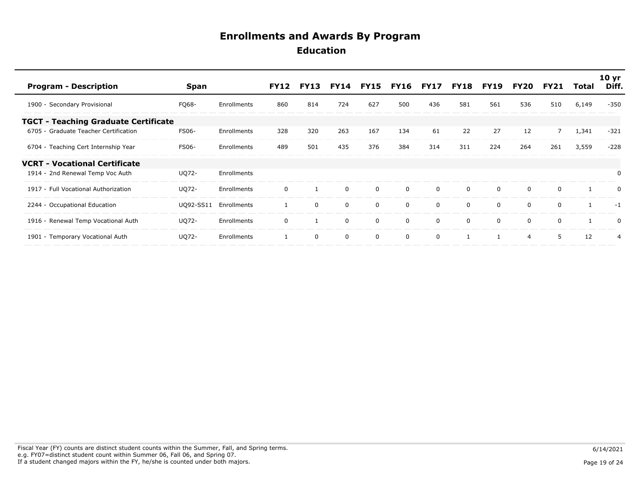| <b>Program - Description</b>                | <b>Span</b>  |                    | <b>FY12</b> | <b>FY13</b> | <b>FY14</b> | <b>FY15</b> | <b>FY16</b> | FY17        | <b>FY18</b> | <b>FY19</b>  | FY20     | <b>FY21</b> | Total          | 10 <sub>yr</sub><br>Diff. |
|---------------------------------------------|--------------|--------------------|-------------|-------------|-------------|-------------|-------------|-------------|-------------|--------------|----------|-------------|----------------|---------------------------|
| 1900 - Secondary Provisional                | FQ68-        | Enrollments        | 860         | 814         | 724         | 627         | 500         | 436         | 581         | 561          | 536      | 510         | 6,149          | $-350$                    |
| <b>TGCT - Teaching Graduate Certificate</b> |              |                    |             |             |             |             |             |             |             |              |          |             |                |                           |
| 6705 - Graduate Teacher Certification       | <b>FS06-</b> | <b>Enrollments</b> | 328         | 320         | 263         | 167         | 134         | 61          | 22          | 27           | 12       | 7           | 1,341          | $-321$                    |
| 6704 - Teaching Cert Internship Year        | <b>FS06-</b> | Enrollments        | 489         | 501         | 435         | 376         | 384         | 314         | 311         | 224          | 264      | 261         | 3,559          | $-228$                    |
| <b>VCRT - Vocational Certificate</b>        |              |                    |             |             |             |             |             |             |             |              |          |             |                |                           |
| 1914 - 2nd Renewal Temp Voc Auth            | <b>UQ72-</b> | Enrollments        |             |             |             |             |             |             |             |              |          |             |                | $\Omega$                  |
| 1917 - Full Vocational Authorization        | UQ72-        | Enrollments        | $\Omega$    |             | $\mathbf 0$ | $\mathbf 0$ | $\Omega$    | $\Omega$    | $\Omega$    | $\mathbf{0}$ | $\Omega$ | $\Omega$    |                | $\Omega$                  |
| 2244 - Occupational Education               | U092-SS11    | Enrollments        |             | 0           | $\mathbf 0$ | $\mathbf 0$ | $\Omega$    | $\mathbf 0$ | $\mathbf 0$ | $\mathbf 0$  | $\Omega$ | $\Omega$    | $\overline{1}$ | $-1$                      |
| 1916 - Renewal Temp Vocational Auth         | UQ72-        | Enrollments        | $\Omega$    |             | $\mathbf 0$ | $\mathbf 0$ | $\Omega$    | 0           | 0           | 0            | $\Omega$ | $\Omega$    |                | 0                         |
| 1901 - Temporary Vocational Auth            | UQ72-        | Enrollments        |             | 0           | $\mathbf 0$ | $\mathbf 0$ | $\mathbf 0$ | $\mathbf 0$ |             |              | 4        | 5           | 12             | $\overline{4}$            |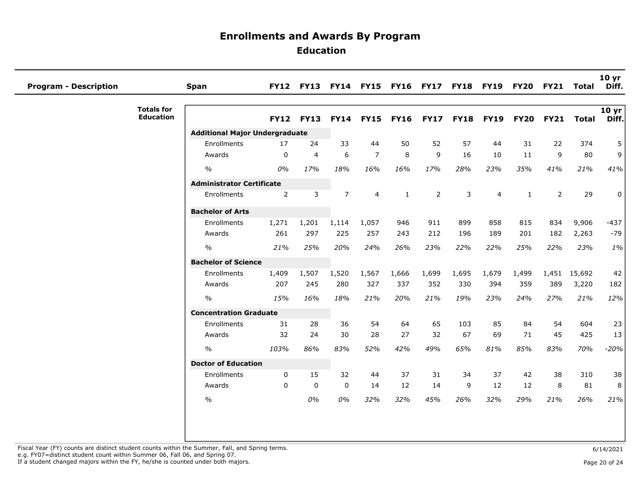| <b>Program - Description</b> |                                       | <b>Span</b>                           |                | <b>FY12 FY13</b> |                |                | FY14 FY15 FY16 FY17 FY18 FY19 |                |             |                | <b>FY20</b>  | <b>FY21</b>    | Total        | 10 <sub>yr</sub><br>Diff. |
|------------------------------|---------------------------------------|---------------------------------------|----------------|------------------|----------------|----------------|-------------------------------|----------------|-------------|----------------|--------------|----------------|--------------|---------------------------|
|                              | <b>Totals for</b><br><b>Education</b> |                                       | <b>FY12</b>    | <b>FY13</b>      | <b>FY14</b>    | <b>FY15</b>    | <b>FY16</b>                   | <b>FY17</b>    | <b>FY18</b> | <b>FY19</b>    | <b>FY20</b>  | <b>FY21</b>    | <b>Total</b> | 10 yr<br>Diff.            |
|                              |                                       | <b>Additional Major Undergraduate</b> |                |                  |                |                |                               |                |             |                |              |                |              |                           |
|                              |                                       | Enrollments                           | 17             | 24               | 33             | 44             | 50                            | 52             | 57          | 44             | 31           | 22             | 374          | 5                         |
|                              |                                       | Awards                                | $\Omega$       | $\overline{4}$   | 6              | $\overline{7}$ | 8                             | 9              | 16          | 10             | 11           | 9              | 80           | 9 <sup>1</sup>            |
|                              |                                       | $\%$                                  | 0%             | 17%              | 18%            | 16%            | 16%                           | 17%            | 28%         | 23%            | 35%          | 41%            | 21%          | 41%                       |
|                              |                                       | <b>Administrator Certificate</b>      |                |                  |                |                |                               |                |             |                |              |                |              |                           |
|                              |                                       | Enrollments                           | $\overline{2}$ | 3                | $\overline{7}$ | $\overline{4}$ | $\mathbf{1}$                  | $\overline{2}$ | 3           | $\overline{4}$ | $\mathbf{1}$ | $\overline{2}$ | 29           | $\mathbf 0$               |
|                              |                                       | <b>Bachelor of Arts</b>               |                |                  |                |                |                               |                |             |                |              |                |              |                           |
|                              |                                       | Enrollments                           | 1,271          | 1,201            | 1,114          | 1,057          | 946                           | 911            | 899         | 858            | 815          | 834            | 9,906        | $-437$                    |
|                              |                                       | Awards                                | 261            | 297              | 225            | 257            | 243                           | 212            | 196         | 189            | 201          | 182            | 2,263        | $-79$                     |
|                              |                                       | $\%$                                  | 21%            | 25%              | 20%            | 24%            | 26%                           | 23%            | 22%         | 22%            | 25%          | 22%            | 23%          | 1%                        |
|                              |                                       | <b>Bachelor of Science</b>            |                |                  |                |                |                               |                |             |                |              |                |              |                           |
|                              |                                       | Enrollments                           | 1,409          | 1,507            | 1,520          | 1,567          | 1,666                         | 1,699          | 1,695       | 1,679          | 1,499        | 1,451          | 15,692       | 42                        |
|                              |                                       | Awards                                | 207            | 245              | 280            | 327            | 337                           | 352            | 330         | 394            | 359          | 389            | 3,220        | 182                       |
|                              |                                       | $\%$                                  | 15%            | 16%              | 18%            | 21%            | 20%                           | 21%            | 19%         | 23%            | 24%          | 27%            | 21%          | 12%                       |
|                              |                                       | <b>Concentration Graduate</b>         |                |                  |                |                |                               |                |             |                |              |                |              |                           |
|                              |                                       | Enrollments                           | 31             | 28               | 36             | 54             | 64                            | 65             | 103         | 85             | 84           | 54             | 604          | 23                        |
|                              |                                       | Awards                                | 32             | 24               | 30             | 28             | 27                            | 32             | 67          | 69             | 71           | 45             | 425          | 13                        |
|                              |                                       | $\%$                                  | 103%           | 86%              | 83%            | 52%            | 42%                           | 49%            | 65%         | 81%            | 85%          | 83%            | 70%          | $-20%$                    |
|                              |                                       | <b>Doctor of Education</b>            |                |                  |                |                |                               |                |             |                |              |                |              |                           |
|                              |                                       | Enrollments                           | 0              | 15               | 32             | 44             | 37                            | 31             | 34          | 37             | 42           | 38             | 310          | 38                        |
|                              |                                       | Awards                                | $\Omega$       | $\mathbf 0$      | $\mathbf 0$    | 14             | 12                            | 14             | 9           | 12             | 12           | 8              | 81           | 8                         |
|                              |                                       | $\%$                                  |                | 0%               | 0%             | 32%            | 32%                           | 45%            | 26%         | 32%            | 29%          | 21%            | 26%          | 21%                       |
|                              |                                       |                                       |                |                  |                |                |                               |                |             |                |              |                |              |                           |
|                              |                                       |                                       |                |                  |                |                |                               |                |             |                |              |                |              |                           |
|                              |                                       |                                       |                |                  |                |                |                               |                |             |                |              |                |              |                           |

Fiscal Year (FY) counts are distinct student counts within the Summer, Fall, and Spring terms.<br>e.g. FY07=distinct student count within Summer 06, Fall 06, and Spring 07.

If a student changed majors within the FY, he/she is counted under both majors. Page 20 of 24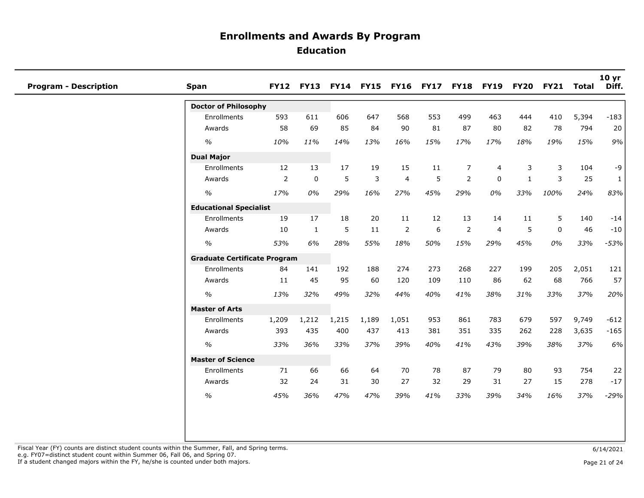| <b>Program - Description</b> | <b>Span</b>                         |                |              |       |       |                | FY12 FY13 FY14 FY15 FY16 FY17 FY18 FY19 |                |                | <b>FY20</b> | <b>FY21</b> | Total | 10 yr<br>Diff. |
|------------------------------|-------------------------------------|----------------|--------------|-------|-------|----------------|-----------------------------------------|----------------|----------------|-------------|-------------|-------|----------------|
|                              | <b>Doctor of Philosophy</b>         |                |              |       |       |                |                                         |                |                |             |             |       |                |
|                              | Enrollments                         | 593            | 611          | 606   | 647   | 568            | 553                                     | 499            | 463            | 444         | 410         | 5,394 | $-183$         |
|                              | Awards                              | 58             | 69           | 85    | 84    | 90             | 81                                      | 87             | 80             | 82          | 78          | 794   | 20             |
|                              | $\%$                                | 10%            | 11%          | 14%   | 13%   | 16%            | 15%                                     | 17%            | 17%            | 18%         | 19%         | 15%   | 9%             |
|                              | <b>Dual Major</b>                   |                |              |       |       |                |                                         |                |                |             |             |       |                |
|                              | Enrollments                         | 12             | 13           | 17    | 19    | 15             | 11                                      | $\overline{7}$ | 4              | 3           | 3           | 104   | -9             |
|                              | Awards                              | $\overline{2}$ | $\mathbf 0$  | 5     | 3     | $\overline{4}$ | 5                                       | 2              | $\mathbf 0$    | 1           | 3           | 25    | $\mathbf{1}$   |
|                              | $\frac{1}{2}$                       | 17%            | 0%           | 29%   | 16%   | 27%            | 45%                                     | 29%            | 0%             | 33%         | 100%        | 24%   | 83%            |
|                              | <b>Educational Specialist</b>       |                |              |       |       |                |                                         |                |                |             |             |       |                |
|                              | Enrollments                         | 19             | 17           | 18    | 20    | 11             | 12                                      | 13             | 14             | 11          | 5           | 140   | $-14$          |
|                              | Awards                              | 10             | $\mathbf{1}$ | 5     | 11    | 2              | 6                                       | $\overline{2}$ | $\overline{4}$ | 5           | $\mathbf 0$ | 46    | $-10$          |
|                              | $\frac{1}{2}$                       | 53%            | 6%           | 28%   | 55%   | 18%            | 50%                                     | 15%            | 29%            | 45%         | 0%          | 33%   | $-53%$         |
|                              | <b>Graduate Certificate Program</b> |                |              |       |       |                |                                         |                |                |             |             |       |                |
|                              | Enrollments                         | 84             | 141          | 192   | 188   | 274            | 273                                     | 268            | 227            | 199         | 205         | 2,051 | 121            |
|                              | Awards                              | 11             | 45           | 95    | 60    | 120            | 109                                     | 110            | 86             | 62          | 68          | 766   | 57             |
|                              | $\frac{1}{2}$                       | 13%            | 32%          | 49%   | 32%   | 44%            | 40%                                     | 41%            | 38%            | 31%         | 33%         | 37%   | 20%            |
|                              | <b>Master of Arts</b>               |                |              |       |       |                |                                         |                |                |             |             |       |                |
|                              | Enrollments                         | 1,209          | 1,212        | 1,215 | 1,189 | 1,051          | 953                                     | 861            | 783            | 679         | 597         | 9,749 | $-612$         |
|                              | Awards                              | 393            | 435          | 400   | 437   | 413            | 381                                     | 351            | 335            | 262         | 228         | 3,635 | $-165$         |
|                              | $\frac{1}{2}$                       | 33%            | 36%          | 33%   | 37%   | 39%            | 40%                                     | 41%            | 43%            | 39%         | 38%         | 37%   | 6%             |
|                              | <b>Master of Science</b>            |                |              |       |       |                |                                         |                |                |             |             |       |                |
|                              | Enrollments                         | 71             | 66           | 66    | 64    | 70             | 78                                      | 87             | 79             | 80          | 93          | 754   | 22             |
|                              | Awards                              | 32             | 24           | 31    | 30    | 27             | 32                                      | 29             | 31             | 27          | 15          | 278   | $-17$          |
|                              | $\frac{1}{2}$                       | 45%            | 36%          | 47%   | 47%   | 39%            | 41%                                     | 33%            | 39%            | 34%         | 16%         | 37%   | $-29%$         |
|                              |                                     |                |              |       |       |                |                                         |                |                |             |             |       |                |

If a student changed majors within the FY, he/she is counted under both majors. Page 21 of 24 of 24 of 24 of 24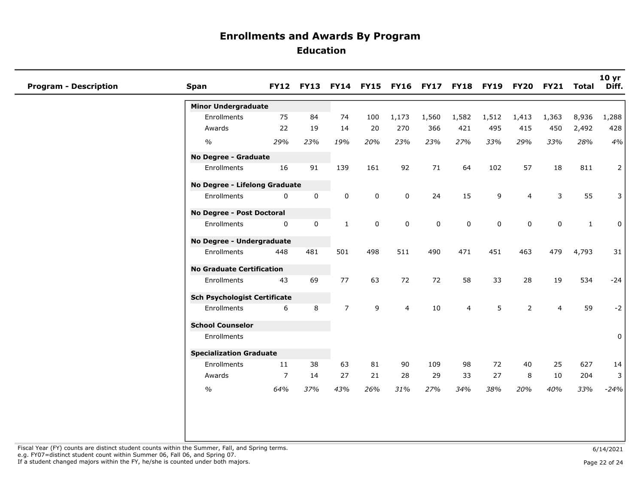| <b>Program - Description</b> | Span                                |                | FY12 FY13 FY14 FY15 FY16 FY17 FY18 FY19 FY20 FY21 |                |             |                |             |                |             |                |                | Total        | 10 yr<br>Diff. |
|------------------------------|-------------------------------------|----------------|---------------------------------------------------|----------------|-------------|----------------|-------------|----------------|-------------|----------------|----------------|--------------|----------------|
|                              | <b>Minor Undergraduate</b>          |                |                                                   |                |             |                |             |                |             |                |                |              |                |
|                              | Enrollments                         | 75             | 84                                                | 74             | 100         | 1,173          | 1,560       | 1,582          | 1,512       | 1,413          | 1,363          | 8,936        | 1,288          |
|                              | Awards                              | 22             | 19                                                | 14             | 20          | 270            | 366         | 421            | 495         | 415            | 450            | 2,492        | 428            |
|                              | $\%$                                | 29%            | 23%                                               | 19%            | 20%         | 23%            | 23%         | 27%            | 33%         | 29%            | 33%            | 28%          | 4%             |
|                              | No Degree - Graduate                |                |                                                   |                |             |                |             |                |             |                |                |              |                |
|                              | Enrollments                         | 16             | 91                                                | 139            | 161         | 92             | 71          | 64             | 102         | 57             | 18             | 811          | 2              |
|                              | No Degree - Lifelong Graduate       |                |                                                   |                |             |                |             |                |             |                |                |              |                |
|                              | Enrollments                         | 0              | $\mathbf 0$                                       | $\mathbf 0$    | $\mathbf 0$ | $\mathbf 0$    | 24          | 15             | 9           | 4              | 3              | 55           | 3              |
|                              | No Degree - Post Doctoral           |                |                                                   |                |             |                |             |                |             |                |                |              |                |
|                              | Enrollments                         | 0              | $\mathbf 0$                                       | $\mathbf{1}$   | $\mathbf 0$ | $\mathbf 0$    | $\mathbf 0$ | $\mathbf 0$    | $\mathbf 0$ | $\mathbf 0$    | $\mathbf 0$    | $\mathbf{1}$ | 0              |
|                              | No Degree - Undergraduate           |                |                                                   |                |             |                |             |                |             |                |                |              |                |
|                              | Enrollments                         | 448            | 481                                               | 501            | 498         | 511            | 490         | 471            | 451         | 463            | 479            | 4,793        | 31             |
|                              | <b>No Graduate Certification</b>    |                |                                                   |                |             |                |             |                |             |                |                |              |                |
|                              | Enrollments                         | 43             | 69                                                | 77             | 63          | 72             | 72          | 58             | 33          | 28             | 19             | 534          | $-24$          |
|                              | <b>Sch Psychologist Certificate</b> |                |                                                   |                |             |                |             |                |             |                |                |              |                |
|                              | Enrollments                         | 6              | 8                                                 | $\overline{7}$ | 9           | $\overline{4}$ | 10          | $\overline{4}$ | 5           | $\overline{2}$ | $\overline{4}$ | 59           | $-2$           |
|                              | <b>School Counselor</b>             |                |                                                   |                |             |                |             |                |             |                |                |              |                |
|                              | Enrollments                         |                |                                                   |                |             |                |             |                |             |                |                |              | 0              |
|                              | <b>Specialization Graduate</b>      |                |                                                   |                |             |                |             |                |             |                |                |              |                |
|                              | Enrollments                         | 11             | 38                                                | 63             | 81          | 90             | 109         | 98             | 72          | 40             | 25             | 627          | 14             |
|                              | Awards                              | $\overline{7}$ | 14                                                | 27             | 21          | 28             | 29          | 33             | 27          | 8              | 10             | 204          | 3              |
|                              | $\%$                                | 64%            | 37%                                               | 43%            | 26%         | 31%            | 27%         | 34%            | 38%         | 20%            | 40%            | 33%          | $-24%$         |
|                              |                                     |                |                                                   |                |             |                |             |                |             |                |                |              |                |
|                              |                                     |                |                                                   |                |             |                |             |                |             |                |                |              |                |

Fiscal Year (FY) counts are distinct student counts within the Summer, Fall, and Spring terms.<br>e.g. FY07=distinct student count within Summer 06, Fall 06, and Spring 07. If a student changed majors within the FY, he/she is counted under both majors. Page 22 of 24 page 22 of 24 page 22 of 24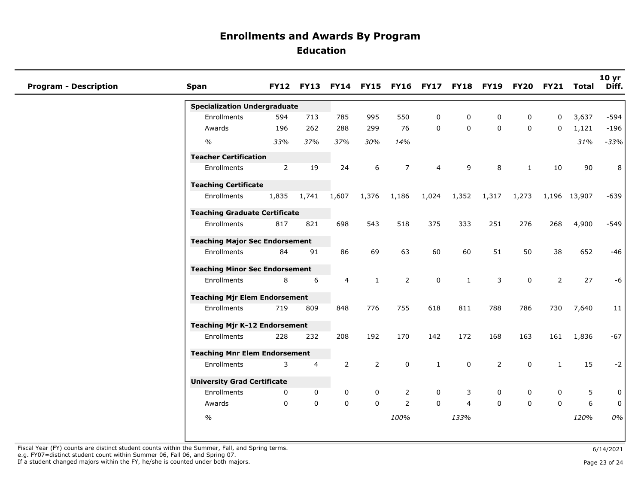| <b>Program - Description</b> | <b>Span</b>                           |             |                |                |              |                |              | FY12 FY13 FY14 FY15 FY16 FY17 FY18 FY19 FY20 FY21 |          |              |                | Total        | 10 <sub>yr</sub><br>Diff. |
|------------------------------|---------------------------------------|-------------|----------------|----------------|--------------|----------------|--------------|---------------------------------------------------|----------|--------------|----------------|--------------|---------------------------|
|                              | <b>Specialization Undergraduate</b>   |             |                |                |              |                |              |                                                   |          |              |                |              |                           |
|                              | Enrollments                           | 594         | 713            | 785            | 995          | 550            | 0            | 0                                                 | 0        | 0            | 0              | 3,637        | -594                      |
|                              | Awards                                | 196         | 262            | 288            | 299          | 76             | 0            | $\mathbf 0$                                       | $\Omega$ | $\Omega$     | $\Omega$       | 1,121        | $-196$                    |
|                              | $\%$                                  | 33%         | 37%            | 37%            | 30%          | 14%            |              |                                                   |          |              |                | 31%          | $-33%$                    |
|                              | <b>Teacher Certification</b>          |             |                |                |              |                |              |                                                   |          |              |                |              |                           |
|                              | Enrollments                           | 2           | 19             | 24             | 6            | $\overline{7}$ | 4            | 9                                                 | 8        | $\mathbf{1}$ | 10             | 90           | 8                         |
|                              | <b>Teaching Certificate</b>           |             |                |                |              |                |              |                                                   |          |              |                |              |                           |
|                              | Enrollments                           | 1,835       | 1,741          | 1,607          | 1,376        | 1,186          | 1,024        | 1,352                                             | 1,317    | 1,273        |                | 1,196 13,907 | $-639$                    |
|                              | <b>Teaching Graduate Certificate</b>  |             |                |                |              |                |              |                                                   |          |              |                |              |                           |
|                              | Enrollments                           | 817         | 821            | 698            | 543          | 518            | 375          | 333                                               | 251      | 276          | 268            | 4,900        | $-549$                    |
|                              | <b>Teaching Major Sec Endorsement</b> |             |                |                |              |                |              |                                                   |          |              |                |              |                           |
|                              | Enrollments                           | 84          | 91             | 86             | 69           | 63             | 60           | 60                                                | 51       | 50           | 38             | 652          | $-46$                     |
|                              | <b>Teaching Minor Sec Endorsement</b> |             |                |                |              |                |              |                                                   |          |              |                |              |                           |
|                              | Enrollments                           | 8           | 6              | $\overline{4}$ | $\mathbf{1}$ | $\overline{2}$ | $\mathbf 0$  | $\mathbf{1}$                                      | 3        | $\mathbf 0$  | $\overline{2}$ | 27           | $-6$                      |
|                              | <b>Teaching Mjr Elem Endorsement</b>  |             |                |                |              |                |              |                                                   |          |              |                |              |                           |
|                              | Enrollments                           | 719         | 809            | 848            | 776          | 755            | 618          | 811                                               | 788      | 786          | 730            | 7,640        | 11                        |
|                              | <b>Teaching Mjr K-12 Endorsement</b>  |             |                |                |              |                |              |                                                   |          |              |                |              |                           |
|                              | Enrollments                           | 228         | 232            | 208            | 192          | 170            | 142          | 172                                               | 168      | 163          | 161            | 1,836        | $-67$                     |
|                              | <b>Teaching Mnr Elem Endorsement</b>  |             |                |                |              |                |              |                                                   |          |              |                |              |                           |
|                              | Enrollments                           | 3           | $\overline{4}$ | 2              | 2            | $\mathbf 0$    | $\mathbf{1}$ | $\mathbf 0$                                       | 2        | $\Omega$     | $\mathbf{1}$   | 15           | $-2$                      |
|                              | <b>University Grad Certificate</b>    |             |                |                |              |                |              |                                                   |          |              |                |              |                           |
|                              | Enrollments                           | 0           | 0              | 0              | 0            | $\overline{2}$ | 0            | 3                                                 | 0        | 0            | $\mathbf 0$    | 5            | 0 <sup>1</sup>            |
|                              | Awards                                | $\mathbf 0$ | $\mathbf 0$    | $\mathbf 0$    | $\mathbf{0}$ | $\overline{2}$ | $\Omega$     | $\overline{4}$                                    | $\Omega$ | $\Omega$     | 0              | 6            | $\overline{0}$            |
|                              | $\frac{1}{2}$                         |             |                |                |              | 100%           |              | 133%                                              |          |              |                | 120%         | 0%                        |
|                              |                                       |             |                |                |              |                |              |                                                   |          |              |                |              |                           |

Fiscal Year (FY) counts are distinct student counts within the Summer, Fall, and Spring terms. e.g. FY07=distinct student count within Summer 06, Fall 06, and Spring 07.

If a student changed majors within the FY, he/she is counted under both majors.